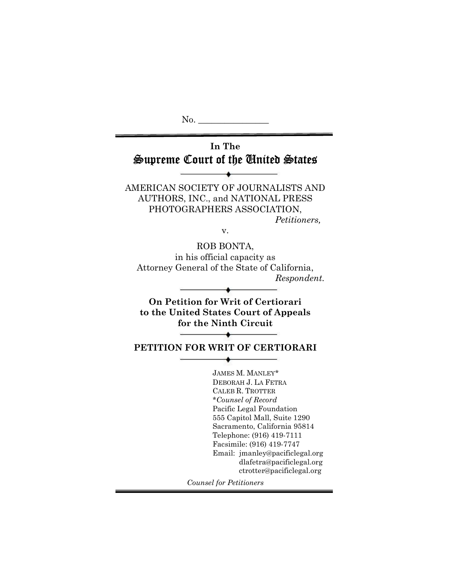No. In The Supreme Court of the United States AMERICAN SOCIETY OF JOURNALISTS AND AUTHORS, INC., and NATIONAL PRESS PHOTOGRAPHERS ASSOCIATION, Petitioners, v. ROB BONTA, in his official capacity as Attorney General of the State of California, Respondent. On Petition for Writ of Certiorari to the United States Court of Appeals for the Ninth Circuit PETITION FOR WRIT OF CERTIORARI JAMES M. MANLEY\* DEBORAH J. LA FETRA CALEB R. TROTTER \*Counsel of Record Pacific Legal Foundation 555 Capitol Mall, Suite 1290 Sacramento, California 95814 Telephone: (916) 419-7111 Facsimile: (916) 419-7747 Email: jmanley@pacificlegal.org dlafetra@pacificlegal.org ctrotter@pacificlegal.org Counsel for Petitioners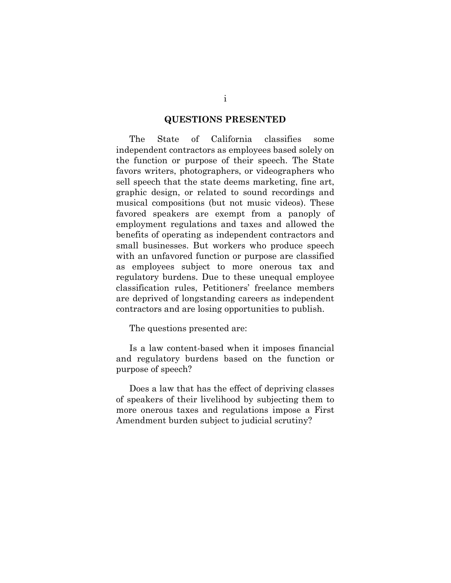#### QUESTIONS PRESENTED

The State of California classifies some independent contractors as employees based solely on the function or purpose of their speech. The State favors writers, photographers, or videographers who sell speech that the state deems marketing, fine art, graphic design, or related to sound recordings and musical compositions (but not music videos). These favored speakers are exempt from a panoply of employment regulations and taxes and allowed the benefits of operating as independent contractors and small businesses. But workers who produce speech with an unfavored function or purpose are classified as employees subject to more onerous tax and regulatory burdens. Due to these unequal employee classification rules, Petitioners' freelance members are deprived of longstanding careers as independent contractors and are losing opportunities to publish.

The questions presented are:

Is a law content-based when it imposes financial and regulatory burdens based on the function or purpose of speech?

Does a law that has the effect of depriving classes of speakers of their livelihood by subjecting them to more onerous taxes and regulations impose a First Amendment burden subject to judicial scrutiny?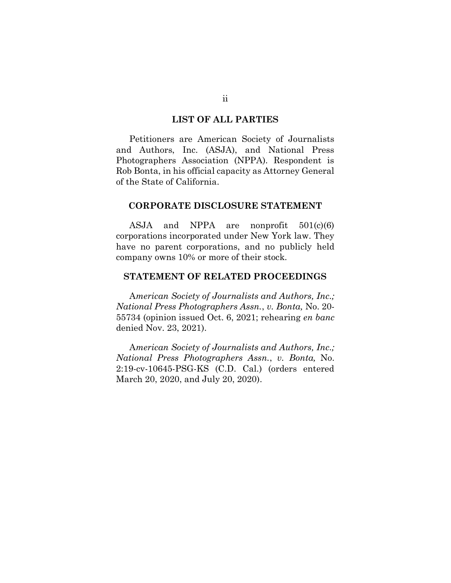#### LIST OF ALL PARTIES

Petitioners are American Society of Journalists and Authors, Inc. (ASJA), and National Press Photographers Association (NPPA). Respondent is Rob Bonta, in his official capacity as Attorney General of the State of California.

#### CORPORATE DISCLOSURE STATEMENT

ASJA and NPPA are nonprofit  $501(c)(6)$ corporations incorporated under New York law. They have no parent corporations, and no publicly held company owns 10% or more of their stock.

#### STATEMENT OF RELATED PROCEEDINGS

American Society of Journalists and Authors, Inc.; National Press Photographers Assn., v. Bonta, No. 20- 55734 (opinion issued Oct. 6, 2021; rehearing en banc denied Nov. 23, 2021).

American Society of Journalists and Authors, Inc.; National Press Photographers Assn., v. Bonta, No. 2:19-cv-10645-PSG-KS (C.D. Cal.) (orders entered March 20, 2020, and July 20, 2020).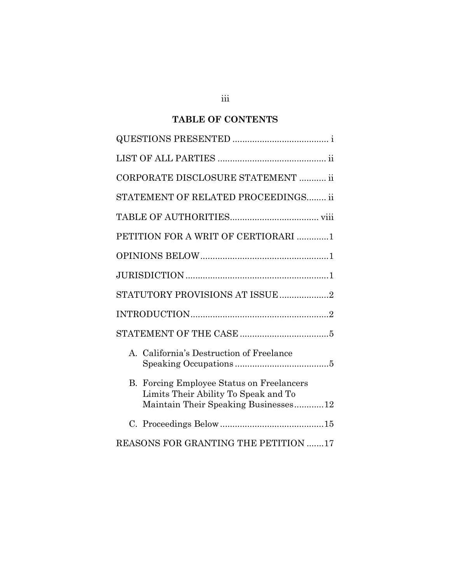## TABLE OF CONTENTS

| CORPORATE DISCLOSURE STATEMENT  ii                                                                                           |
|------------------------------------------------------------------------------------------------------------------------------|
| STATEMENT OF RELATED PROCEEDINGS ii                                                                                          |
|                                                                                                                              |
| PETITION FOR A WRIT OF CERTIORARI 1                                                                                          |
|                                                                                                                              |
|                                                                                                                              |
|                                                                                                                              |
|                                                                                                                              |
|                                                                                                                              |
| A. California's Destruction of Freelance                                                                                     |
| Forcing Employee Status on Freelancers<br>В.<br>Limits Their Ability To Speak and To<br>Maintain Their Speaking Businesses12 |
|                                                                                                                              |
| REASONS FOR GRANTING THE PETITION 17                                                                                         |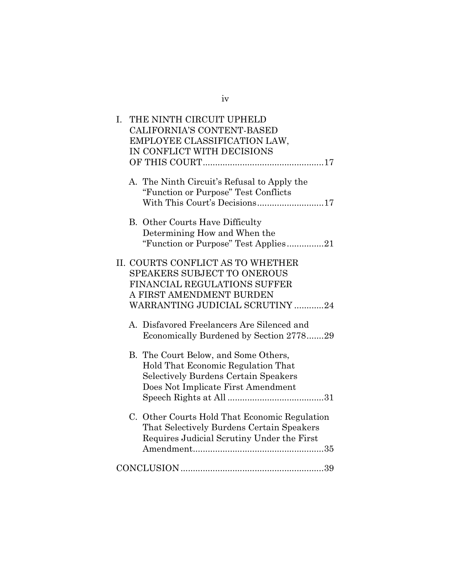| I. | THE NINTH CIRCUIT UPHELD<br>CALIFORNIA'S CONTENT-BASED<br>EMPLOYEE CLASSIFICATION LAW,<br>IN CONFLICT WITH DECISIONS                                                   |
|----|------------------------------------------------------------------------------------------------------------------------------------------------------------------------|
|    | A. The Ninth Circuit's Refusal to Apply the<br>"Function or Purpose" Test Conflicts<br>With This Court's Decisions17                                                   |
|    | <b>B.</b> Other Courts Have Difficulty<br>Determining How and When the<br>"Function or Purpose" Test Applies21                                                         |
|    | II. COURTS CONFLICT AS TO WHETHER<br><b>SPEAKERS SUBJECT TO ONEROUS</b><br>FINANCIAL REGULATIONS SUFFER<br>A FIRST AMENDMENT BURDEN<br>WARRANTING JUDICIAL SCRUTINY 24 |
|    | A. Disfavored Freelancers Are Silenced and<br>Economically Burdened by Section 277829                                                                                  |
|    | B. The Court Below, and Some Others,<br>Hold That Economic Regulation That<br><b>Selectively Burdens Certain Speakers</b><br>Does Not Implicate First Amendment        |
|    | C. Other Courts Hold That Economic Regulation<br>That Selectively Burdens Certain Speakers<br>Requires Judicial Scrutiny Under the First                               |
|    |                                                                                                                                                                        |

## iv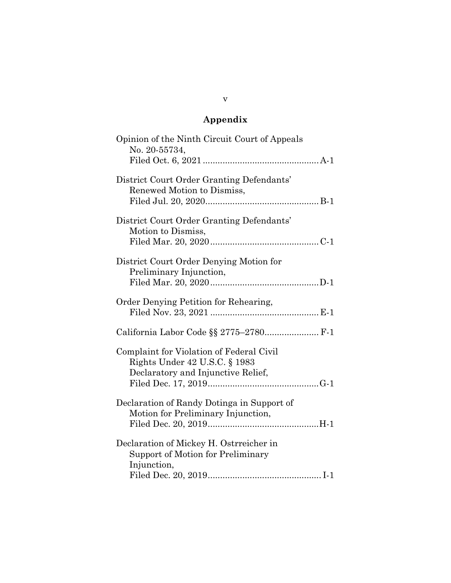# Appendix

| Opinion of the Ninth Circuit Court of Appeals<br>No. 20-55734,                                                  |
|-----------------------------------------------------------------------------------------------------------------|
| District Court Order Granting Defendants'<br>Renewed Motion to Dismiss,                                         |
| District Court Order Granting Defendants'<br>Motion to Dismiss,                                                 |
| District Court Order Denying Motion for<br>Preliminary Injunction,                                              |
| Order Denying Petition for Rehearing,                                                                           |
| California Labor Code §§ 2775-2780 F-1                                                                          |
| Complaint for Violation of Federal Civil<br>Rights Under 42 U.S.C. § 1983<br>Declaratory and Injunctive Relief, |
| Declaration of Randy Dotinga in Support of<br>Motion for Preliminary Injunction,                                |
| Declaration of Mickey H. Ostrreicher in<br>Support of Motion for Preliminary<br>Injunction,                     |

v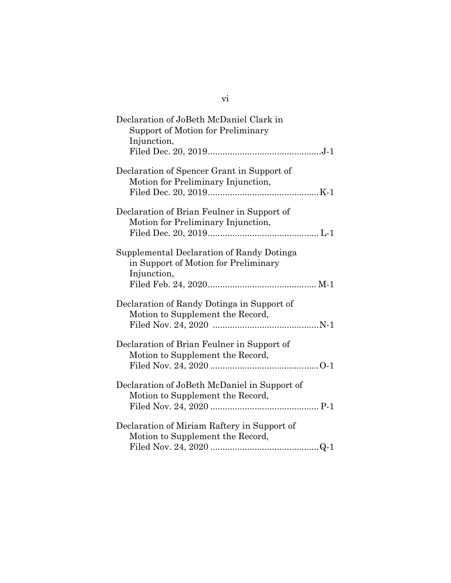| Declaration of JoBeth McDaniel Clark in<br>Support of Motion for Preliminary<br>Injunction,      |  |
|--------------------------------------------------------------------------------------------------|--|
| Declaration of Spencer Grant in Support of<br>Motion for Preliminary Injunction,                 |  |
| Declaration of Brian Feulner in Support of<br>Motion for Preliminary Injunction,                 |  |
| Supplemental Declaration of Randy Dotinga<br>in Support of Motion for Preliminary<br>Injunction, |  |
| Declaration of Randy Dotinga in Support of<br>Motion to Supplement the Record,                   |  |
| Declaration of Brian Feulner in Support of<br>Motion to Supplement the Record,                   |  |
| Declaration of JoBeth McDaniel in Support of<br>Motion to Supplement the Record,                 |  |
| Declaration of Miriam Raftery in Support of<br>Motion to Supplement the Record,                  |  |

vi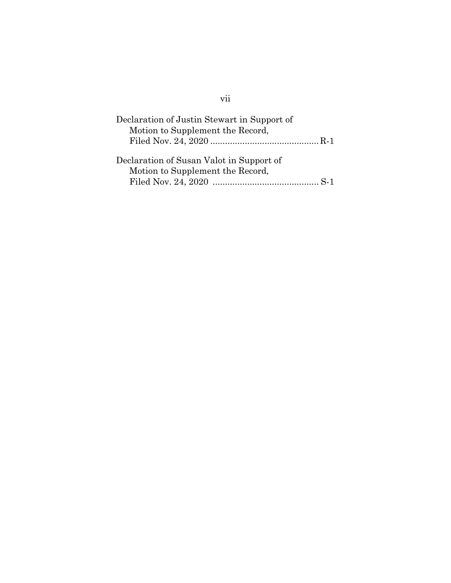| Declaration of Justin Stewart in Support of<br>Motion to Supplement the Record, |  |
|---------------------------------------------------------------------------------|--|
| Declaration of Susan Valot in Support of<br>Motion to Supplement the Record,    |  |

# vii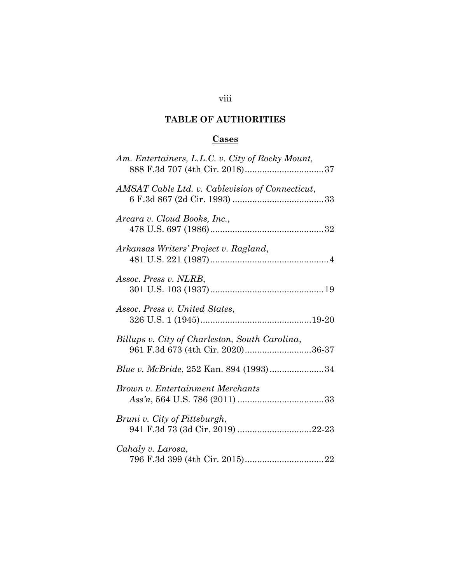# viii

## TABLE OF AUTHORITIES

## **Cases**

| Am. Entertainers, L.L.C. v. City of Rocky Mount,                                    |
|-------------------------------------------------------------------------------------|
| AMSAT Cable Ltd. v. Cablevision of Connecticut,                                     |
| Arcara v. Cloud Books, Inc.,                                                        |
| Arkansas Writers' Project v. Ragland,                                               |
| Assoc. Press v. NLRB,                                                               |
| Assoc. Press v. United States,                                                      |
| Billups v. City of Charleston, South Carolina,<br>961 F.3d 673 (4th Cir. 2020)36-37 |
| Blue v. McBride, 252 Kan. 894 (1993)34                                              |
| Brown v. Entertainment Merchants                                                    |
| Bruni v. City of Pittsburgh,<br>941 F.3d 73 (3d Cir. 2019) 22-23                    |
| Cahaly v. Larosa,                                                                   |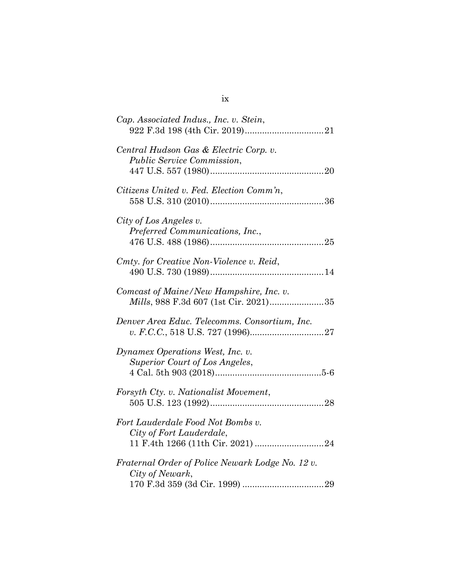| Cap. Associated Indus., Inc. v. Stein,                                                   |
|------------------------------------------------------------------------------------------|
| Central Hudson Gas & Electric Corp. v.<br><i>Public Service Commission,</i>              |
| Citizens United v. Fed. Election Comm'n,                                                 |
| City of Los Angeles v.<br>Preferred Communications, Inc.,                                |
| Cmty. for Creative Non-Violence v. Reid,                                                 |
| Comcast of Maine/New Hampshire, Inc. v.<br><i>Mills</i> , 988 F.3d 607 (1st Cir. 2021)35 |
| Denver Area Educ. Telecomms. Consortium, Inc.                                            |
| Dynamex Operations West, Inc. v.<br>Superior Court of Los Angeles,                       |
| Forsyth Cty. v. Nationalist Movement,                                                    |
| Fort Lauderdale Food Not Bombs v.<br>City of Fort Lauderdale,                            |
| Fraternal Order of Police Newark Lodge No. 12 v.<br>City of Newark,                      |

ix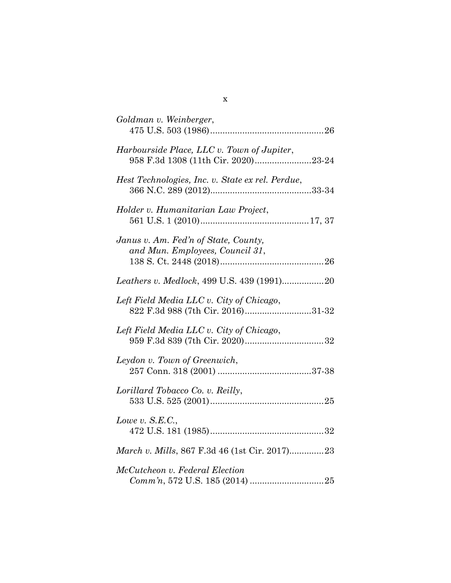| Goldman v. Weinberger,                           |
|--------------------------------------------------|
|                                                  |
| Harbourside Place, LLC v. Town of Jupiter,       |
| 958 F.3d 1308 (11th Cir. 2020)23-24              |
|                                                  |
| Hest Technologies, Inc. v. State ex rel. Perdue, |
|                                                  |
|                                                  |
| Holder v. Humanitarian Law Project,              |
|                                                  |
|                                                  |
| Janus v. Am. Fed'n of State, County,             |
| and Mun. Employees, Council 31,                  |
|                                                  |
|                                                  |
|                                                  |
| Leathers v. Medlock, 499 U.S. 439 (1991)20       |
| Left Field Media LLC v. City of Chicago,         |
|                                                  |
| 822 F.3d 988 (7th Cir. 2016)31-32                |
| Left Field Media LLC v. City of Chicago,         |
|                                                  |
|                                                  |
|                                                  |
| Leydon v. Town of Greenwich,                     |
|                                                  |
| Lorillard Tobacco Co. v. Reilly,                 |
|                                                  |
|                                                  |
| Lowe v. $S.E.C.,$                                |
|                                                  |
|                                                  |
| March v. Mills, 867 F.3d 46 (1st Cir. 2017)23    |
|                                                  |
| McCutcheon v. Federal Election                   |
|                                                  |
|                                                  |

x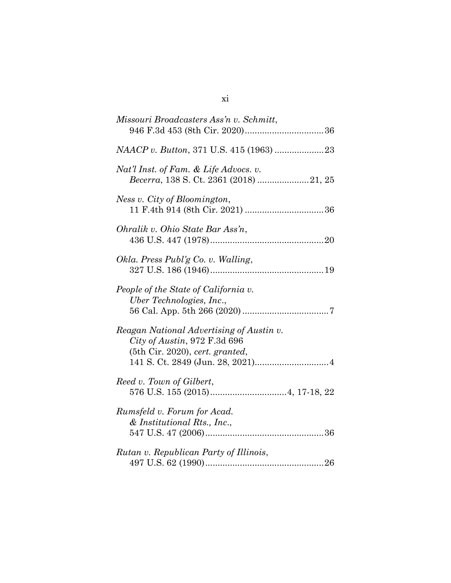| Missouri Broadcasters Ass'n v. Schmitt,                                                                       |
|---------------------------------------------------------------------------------------------------------------|
|                                                                                                               |
| Nat'l Inst. of Fam. & Life Advocs. v.<br>Becerra, 138 S. Ct. 2361 (2018) 21, 25                               |
| Ness v. City of Bloomington,                                                                                  |
| Ohralik v. Ohio State Bar Ass'n,                                                                              |
| Okla. Press Publ'g Co. v. Walling,                                                                            |
| People of the State of California v.<br>Uber Technologies, Inc.,                                              |
| Reagan National Advertising of Austin v.<br>City of Austin, 972 F.3d 696<br>$(5th$ Cir. 2020), cert. granted, |
| Reed v. Town of Gilbert,                                                                                      |
| Rumsfeld v. Forum for Acad.<br>& Institutional Rts., Inc.,                                                    |
| Rutan v. Republican Party of Illinois,                                                                        |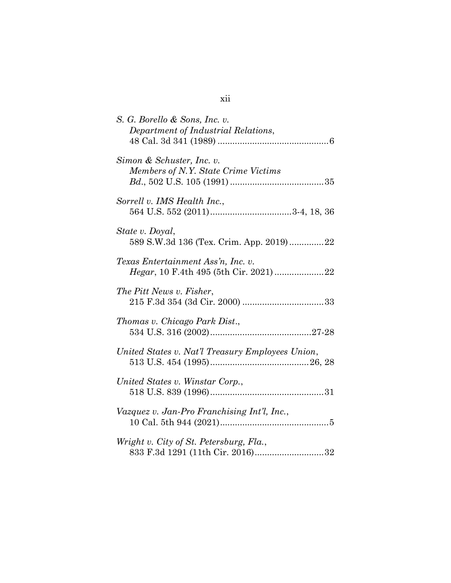| S. G. Borello & Sons, Inc. v.<br>Department of Industrial Relations,        |
|-----------------------------------------------------------------------------|
| Simon & Schuster, Inc. v.<br>Members of N.Y. State Crime Victims            |
| Sorrell v. IMS Health Inc.,                                                 |
| State v. Doyal,<br>589 S.W.3d 136 (Tex. Crim. App. 2019)22                  |
| Texas Entertainment Ass'n, Inc. v.                                          |
| The Pitt News v. Fisher,                                                    |
| Thomas v. Chicago Park Dist.,                                               |
| United States v. Nat'l Treasury Employees Union,                            |
| United States v. Winstar Corp.,                                             |
| Vazquez v. Jan-Pro Franchising Int'l, Inc.,                                 |
| Wright v. City of St. Petersburg, Fla.,<br>833 F.3d 1291 (11th Cir. 2016)32 |

## xii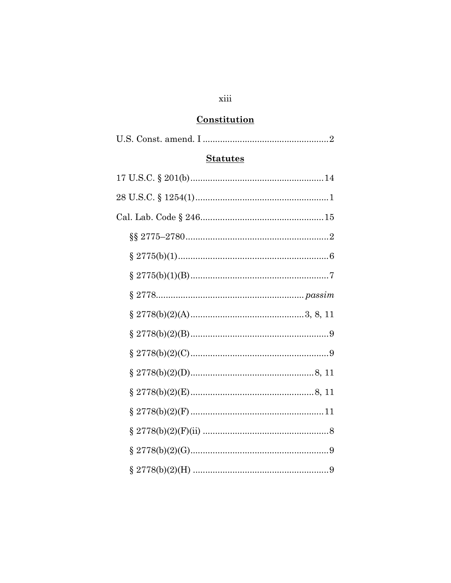## xiii

# Constitution

| <b>Statutes</b> |
|-----------------|
|                 |
|                 |
|                 |
|                 |
|                 |
|                 |
|                 |
|                 |
|                 |
|                 |
|                 |
|                 |
|                 |
|                 |
|                 |
|                 |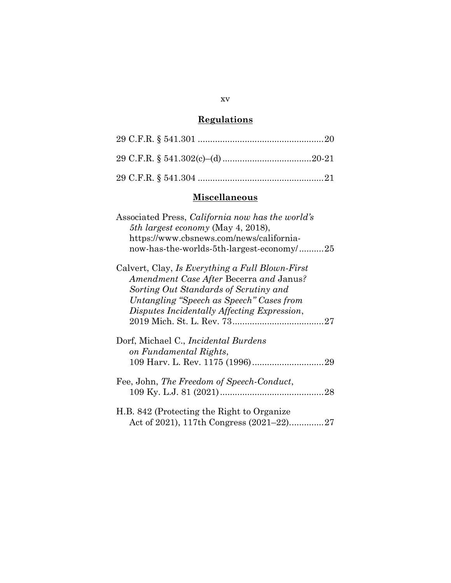# **Regulations**

## **Miscellaneous**

| Associated Press, <i>California now has the world's</i><br>5th largest economy (May 4, 2018),<br>https://www.cbsnews.com/news/california-<br>now-has-the-worlds-5th-largest-economy/25                                         |
|--------------------------------------------------------------------------------------------------------------------------------------------------------------------------------------------------------------------------------|
| Calvert, Clay, Is Everything a Full Blown-First<br>Amendment Case After Becerra and Janus?<br>Sorting Out Standards of Scrutiny and<br>Untangling "Speech as Speech" Cases from<br>Disputes Incidentally Affecting Expression, |
| Dorf, Michael C., <i>Incidental Burdens</i><br>on Fundamental Rights,                                                                                                                                                          |
| Fee, John, The Freedom of Speech-Conduct,<br>28                                                                                                                                                                                |
| H.B. 842 (Protecting the Right to Organize<br>Act of 2021), 117th Congress $(2021-22)$<br>27                                                                                                                                   |

#### xv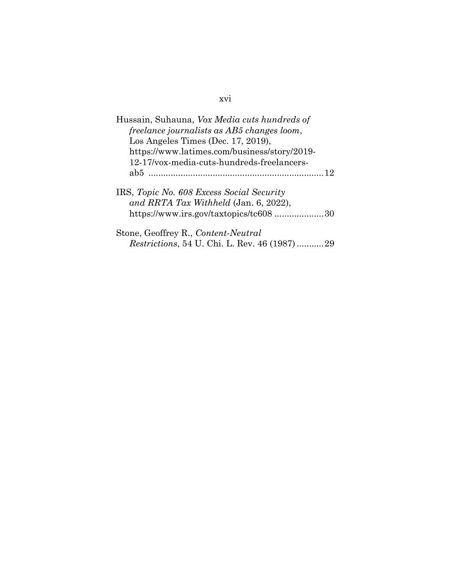| Hussain, Suhauna, Vox Media cuts hundreds of                                                                                 |  |  |  |  |
|------------------------------------------------------------------------------------------------------------------------------|--|--|--|--|
| freelance journalists as AB5 changes loom,                                                                                   |  |  |  |  |
| Los Angeles Times (Dec. $17, 2019$ ),                                                                                        |  |  |  |  |
| https://www.latimes.com/business/story/2019-                                                                                 |  |  |  |  |
| 12-17/vox-media-cuts-hundreds-freelancers-                                                                                   |  |  |  |  |
| 12                                                                                                                           |  |  |  |  |
| IRS, Topic No. 608 Excess Social Security<br>and RRTA Tax Withheld (Jan. 6, 2022),<br>https://www.irs.gov/taxtopics/tc608 30 |  |  |  |  |
| Stone, Geoffrey R., Content-Neutral                                                                                          |  |  |  |  |
| <i>Restrictions</i> , 54 U. Chi. L. Rev. 46 (1987)29                                                                         |  |  |  |  |

## xvi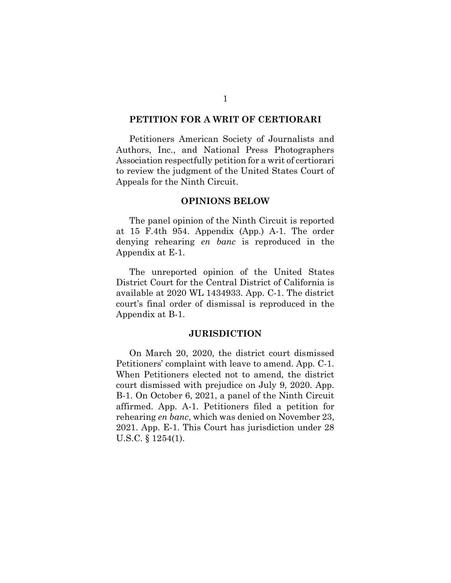#### PETITION FOR A WRIT OF CERTIORARI

Petitioners American Society of Journalists and Authors, Inc., and National Press Photographers Association respectfully petition for a writ of certiorari to review the judgment of the United States Court of Appeals for the Ninth Circuit.

#### OPINIONS BELOW

The panel opinion of the Ninth Circuit is reported at 15 F.4th 954. Appendix (App.) A-1. The order denying rehearing en banc is reproduced in the Appendix at E-1.

The unreported opinion of the United States District Court for the Central District of California is available at 2020 WL 1434933. App. C-1. The district court's final order of dismissal is reproduced in the Appendix at B-1.

#### **JURISDICTION**

On March 20, 2020, the district court dismissed Petitioners' complaint with leave to amend. App. C-1. When Petitioners elected not to amend, the district court dismissed with prejudice on July 9, 2020. App. B-1. On October 6, 2021, a panel of the Ninth Circuit affirmed. App. A-1. Petitioners filed a petition for rehearing en banc, which was denied on November 23, 2021. App. E-1. This Court has jurisdiction under 28 U.S.C. § 1254(1).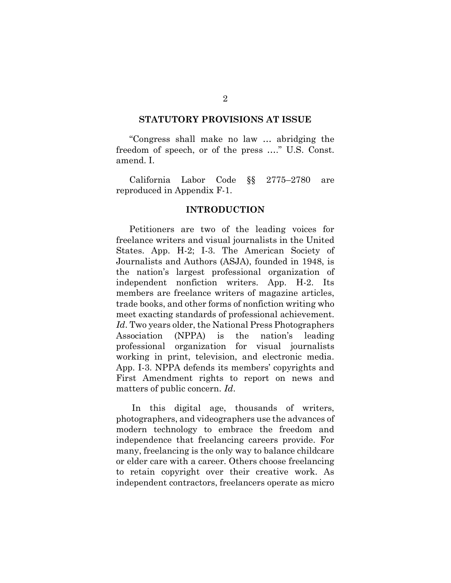#### STATUTORY PROVISIONS AT ISSUE

"Congress shall make no law … abridging the freedom of speech, or of the press …." U.S. Const. amend. I.

California Labor Code §§ 2775–2780 are reproduced in Appendix F-1.

#### INTRODUCTION

Petitioners are two of the leading voices for freelance writers and visual journalists in the United States. App. H-2; I-3. The American Society of Journalists and Authors (ASJA), founded in 1948, is the nation's largest professional organization of independent nonfiction writers. App. H-2. Its members are freelance writers of magazine articles, trade books, and other forms of nonfiction writing who meet exacting standards of professional achievement. Id. Two years older, the National Press Photographers Association (NPPA) is the nation's leading professional organization for visual journalists working in print, television, and electronic media. App. I-3. NPPA defends its members' copyrights and First Amendment rights to report on news and matters of public concern. Id.

 In this digital age, thousands of writers, photographers, and videographers use the advances of modern technology to embrace the freedom and independence that freelancing careers provide. For many, freelancing is the only way to balance childcare or elder care with a career. Others choose freelancing to retain copyright over their creative work. As independent contractors, freelancers operate as micro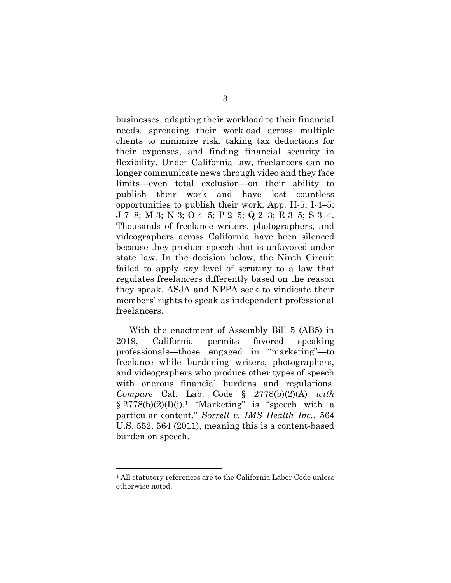businesses, adapting their workload to their financial needs, spreading their workload across multiple clients to minimize risk, taking tax deductions for their expenses, and finding financial security in flexibility. Under California law, freelancers can no longer communicate news through video and they face limits—even total exclusion—on their ability to publish their work and have lost countless opportunities to publish their work. App. H-5; I-4–5; J-7–8; M-3; N-3; O-4–5; P-2–5; Q-2–3; R-3–5; S-3–4. Thousands of freelance writers, photographers, and videographers across California have been silenced because they produce speech that is unfavored under state law. In the decision below, the Ninth Circuit failed to apply any level of scrutiny to a law that regulates freelancers differently based on the reason they speak. ASJA and NPPA seek to vindicate their members' rights to speak as independent professional freelancers.

With the enactment of Assembly Bill 5 (AB5) in 2019, California permits favored speaking professionals—those engaged in "marketing"—to freelance while burdening writers, photographers, and videographers who produce other types of speech with onerous financial burdens and regulations. Compare Cal. Lab. Code  $\S$  2778(b)(2)(A) with  $\S 2778(b)(2)(I)(i).<sup>1</sup>$  "Marketing" is "speech with a particular content," Sorrell v. IMS Health Inc., 564 U.S. 552, 564 (2011), meaning this is a content-based burden on speech.

<sup>1</sup> All statutory references are to the California Labor Code unless otherwise noted.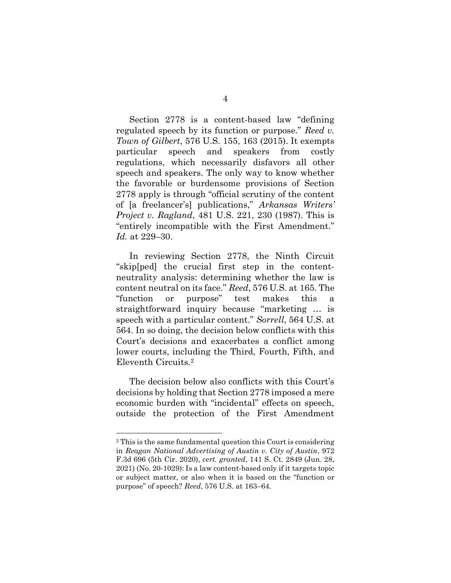Section 2778 is a content-based law "defining regulated speech by its function or purpose." Reed v. Town of Gilbert, 576 U.S. 155, 163 (2015). It exempts particular speech and speakers from costly regulations, which necessarily disfavors all other speech and speakers. The only way to know whether the favorable or burdensome provisions of Section 2778 apply is through "official scrutiny of the content of [a freelancer's] publications," Arkansas Writers' Project v. Ragland, 481 U.S. 221, 230 (1987). This is "entirely incompatible with the First Amendment." Id. at 229–30.

In reviewing Section 2778, the Ninth Circuit "skip[ped] the crucial first step in the contentneutrality analysis: determining whether the law is content neutral on its face." Reed, 576 U.S. at 165. The "function or purpose" test makes this a straightforward inquiry because "marketing … is speech with a particular content." Sorrell, 564 U.S. at 564. In so doing, the decision below conflicts with this Court's decisions and exacerbates a conflict among lower courts, including the Third, Fourth, Fifth, and Eleventh Circuits.<sup>2</sup>

The decision below also conflicts with this Court's decisions by holding that Section 2778 imposed a mere economic burden with "incidental" effects on speech, outside the protection of the First Amendment

<sup>2</sup> This is the same fundamental question this Court is considering in Reagan National Advertising of Austin v. City of Austin, 972 F.3d 696 (5th Cir. 2020), cert. granted, 141 S. Ct. 2849 (Jun. 28, 2021) (No. 20-1029): Is a law content-based only if it targets topic or subject matter, or also when it is based on the "function or purpose" of speech? Reed, 576 U.S. at 163–64.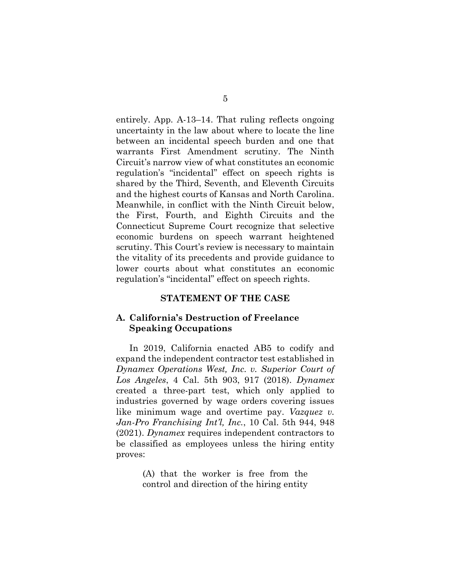entirely. App. A-13–14. That ruling reflects ongoing uncertainty in the law about where to locate the line between an incidental speech burden and one that warrants First Amendment scrutiny. The Ninth Circuit's narrow view of what constitutes an economic regulation's "incidental" effect on speech rights is shared by the Third, Seventh, and Eleventh Circuits and the highest courts of Kansas and North Carolina. Meanwhile, in conflict with the Ninth Circuit below, the First, Fourth, and Eighth Circuits and the Connecticut Supreme Court recognize that selective economic burdens on speech warrant heightened scrutiny. This Court's review is necessary to maintain the vitality of its precedents and provide guidance to lower courts about what constitutes an economic regulation's "incidental" effect on speech rights.

#### STATEMENT OF THE CASE

#### A. California's Destruction of Freelance Speaking Occupations

In 2019, California enacted AB5 to codify and expand the independent contractor test established in Dynamex Operations West, Inc. v. Superior Court of Los Angeles, 4 Cal. 5th 903, 917 (2018). Dynamex created a three-part test, which only applied to industries governed by wage orders covering issues like minimum wage and overtime pay. Vazquez v. Jan-Pro Franchising Int'l, Inc., 10 Cal. 5th 944, 948 (2021). Dynamex requires independent contractors to be classified as employees unless the hiring entity proves:

> (A) that the worker is free from the control and direction of the hiring entity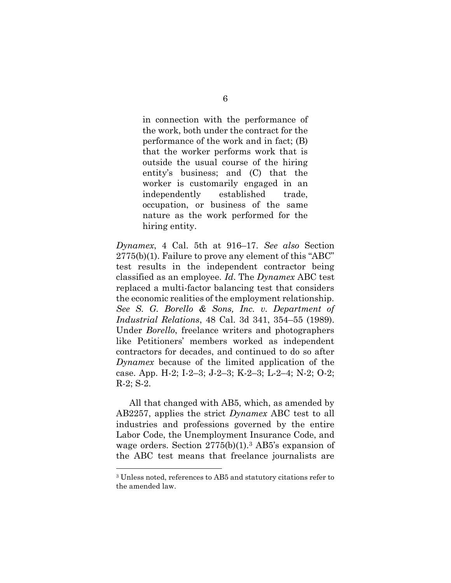in connection with the performance of the work, both under the contract for the performance of the work and in fact; (B) that the worker performs work that is outside the usual course of the hiring entity's business; and (C) that the worker is customarily engaged in an independently established trade, occupation, or business of the same nature as the work performed for the hiring entity.

Dynamex, 4 Cal. 5th at 916–17. See also Section 2775(b)(1). Failure to prove any element of this "ABC" test results in the independent contractor being classified as an employee. Id. The Dynamex ABC test replaced a multi-factor balancing test that considers the economic realities of the employment relationship. See S. G. Borello & Sons, Inc. v. Department of Industrial Relations, 48 Cal. 3d 341, 354–55 (1989). Under Borello, freelance writers and photographers like Petitioners' members worked as independent contractors for decades, and continued to do so after Dynamex because of the limited application of the case. App. H-2; I-2–3; J-2–3; K-2–3; L-2–4; N-2; O-2; R-2; S-2.

All that changed with AB5, which, as amended by AB2257, applies the strict *Dynamex* ABC test to all industries and professions governed by the entire Labor Code, the Unemployment Insurance Code, and wage orders. Section  $2775(b)(1)$ .<sup>3</sup> AB5's expansion of the ABC test means that freelance journalists are

<sup>3</sup> Unless noted, references to AB5 and statutory citations refer to the amended law.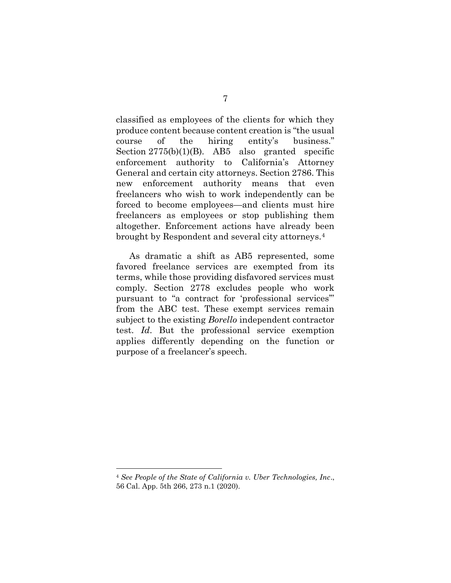classified as employees of the clients for which they produce content because content creation is "the usual course of the hiring entity's business." Section  $2775(b)(1)(B)$ . AB5 also granted specific enforcement authority to California's Attorney General and certain city attorneys. Section 2786. This new enforcement authority means that even freelancers who wish to work independently can be forced to become employees—and clients must hire freelancers as employees or stop publishing them altogether. Enforcement actions have already been brought by Respondent and several city attorneys.<sup>4</sup>

As dramatic a shift as AB5 represented, some favored freelance services are exempted from its terms, while those providing disfavored services must comply. Section 2778 excludes people who work pursuant to "a contract for 'professional services'" from the ABC test. These exempt services remain subject to the existing Borello independent contractor test. Id. But the professional service exemption applies differently depending on the function or purpose of a freelancer's speech.

<sup>4</sup> See People of the State of California v. Uber Technologies, Inc., 56 Cal. App. 5th 266, 273 n.1 (2020).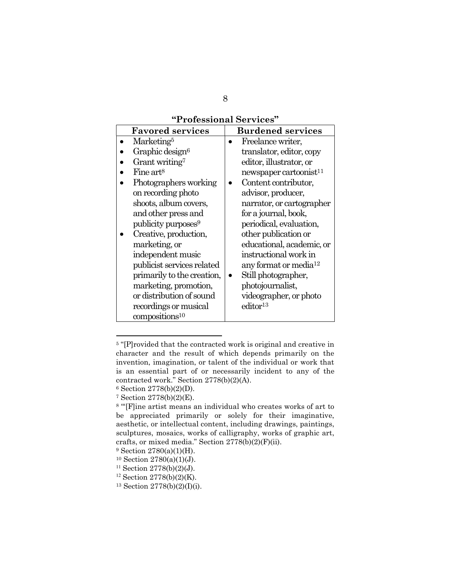## "Professional Services"

| <b>Favored services</b>         | <b>Burdened services</b>           |
|---------------------------------|------------------------------------|
| Marketing <sup>5</sup>          | Freelance writer,                  |
| Graphic design <sup>6</sup>     | translator, editor, copy           |
| Grant writing <sup>7</sup>      | editor, illustrator, or            |
| Fine art <sup>8</sup>           | newspaper cartoonist <sup>11</sup> |
| Photographers working           | Content contributor,               |
| on recording photo              | advisor, producer,                 |
| shoots, album covers,           | narrator, or cartographer          |
| and other press and             | for a journal, book,               |
| publicity purposes <sup>9</sup> | periodical, evaluation,            |
| Creative, production,           | other publication or               |
| marketing, or                   | educational, academic, or          |
| independent music               | instructional work in              |
| publicist services related      | any format or media $12$           |
| primarily to the creation,      | Still photographer,                |
| marketing, promotion,           | photojournalist,                   |
| or distribution of sound        | videographer, or photo             |
| recordings or musical           | editor <sup>13</sup>               |
| compositions <sup>10</sup>      |                                    |

<sup>&</sup>lt;sup>5</sup> "[P]rovided that the contracted work is original and creative in character and the result of which depends primarily on the invention, imagination, or talent of the individual or work that is an essential part of or necessarily incident to any of the contracted work." Section 2778(b)(2)(A).

<sup>6</sup> Section 2778(b)(2)(D).

<sup>7</sup> Section 2778(b)(2)(E).

<sup>8</sup> "'[F]ine artist means an individual who creates works of art to be appreciated primarily or solely for their imaginative, aesthetic, or intellectual content, including drawings, paintings, sculptures, mosaics, works of calligraphy, works of graphic art, crafts, or mixed media." Section 2778(b)(2)(F)(ii).

<sup>9</sup> Section 2780(a)(1)(H).

 $10$  Section  $2780(a)(1)(J)$ .

 $11$  Section 2778(b)(2)(J).

 $12$  Section 2778(b)(2)(K).

<sup>13</sup> Section 2778(b)(2)(I)(i).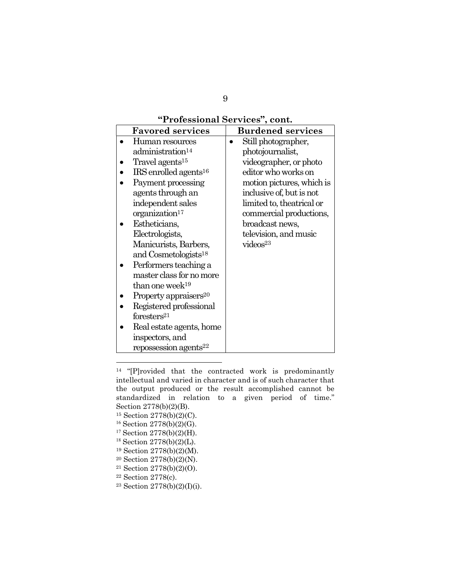## "Professional Services", cont.

| <b>Favored services</b>             | <b>Burdened services</b>  |
|-------------------------------------|---------------------------|
| Human resources                     | Still photographer,       |
| administration <sup>14</sup>        | photojournalist,          |
| Travel agents <sup>15</sup>         | videographer, or photo    |
| $IRS$ enrolled agents <sup>16</sup> | editor who works on       |
| Payment processing                  | motion pictures, which is |
| agents through an                   | inclusive of, but is not  |
| independent sales                   | limited to, theatrical or |
| organization <sup>17</sup>          | commercial productions,   |
| Estheticians,                       | broadcast news,           |
| Electrologists,                     | television, and music     |
| Manicurists, Barbers,               | video <sub>33</sub>       |
| and Cosmetologists <sup>18</sup>    |                           |
| Performers teaching a               |                           |
| master class for no more            |                           |
| than one week <sup>19</sup>         |                           |
| Property appraisers <sup>20</sup>   |                           |
| Registered professional             |                           |
| foresters <sup>21</sup>             |                           |
| Real estate agents, home            |                           |
| inspectors, and                     |                           |
| repossession agents <sup>22</sup>   |                           |

<sup>14</sup> "[P]rovided that the contracted work is predominantly intellectual and varied in character and is of such character that the output produced or the result accomplished cannot be standardized in relation to a given period of time." Section 2778(b)(2)(B).

- <sup>19</sup> Section 2778(b)(2)(M).
- <sup>20</sup> Section 2778(b)(2)(N).
- $^{21}$  Section 2778(b)(2)(O).
- <sup>22</sup> Section 2778(c).

<sup>15</sup> Section 2778(b)(2)(C).

 $16$  Section 2778(b)(2)(G).

 $17$  Section  $2778(b)(2)(H)$ .

 $18$  Section 2778(b)(2)(L).

<sup>23</sup> Section 2778(b)(2)(I)(i).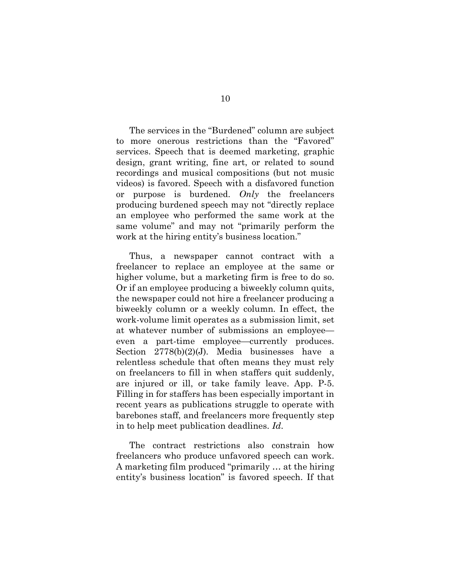The services in the "Burdened" column are subject to more onerous restrictions than the "Favored" services. Speech that is deemed marketing, graphic design, grant writing, fine art, or related to sound recordings and musical compositions (but not music videos) is favored. Speech with a disfavored function or purpose is burdened.  $Only$  the freelancers producing burdened speech may not "directly replace an employee who performed the same work at the same volume" and may not "primarily perform the work at the hiring entity's business location."

Thus, a newspaper cannot contract with a freelancer to replace an employee at the same or higher volume, but a marketing firm is free to do so. Or if an employee producing a biweekly column quits, the newspaper could not hire a freelancer producing a biweekly column or a weekly column. In effect, the work-volume limit operates as a submission limit, set at whatever number of submissions an employee even a part-time employee—currently produces. Section 2778(b)(2)(J). Media businesses have a relentless schedule that often means they must rely on freelancers to fill in when staffers quit suddenly, are injured or ill, or take family leave. App. P-5. Filling in for staffers has been especially important in recent years as publications struggle to operate with barebones staff, and freelancers more frequently step in to help meet publication deadlines. Id.

The contract restrictions also constrain how freelancers who produce unfavored speech can work. A marketing film produced "primarily … at the hiring entity's business location" is favored speech. If that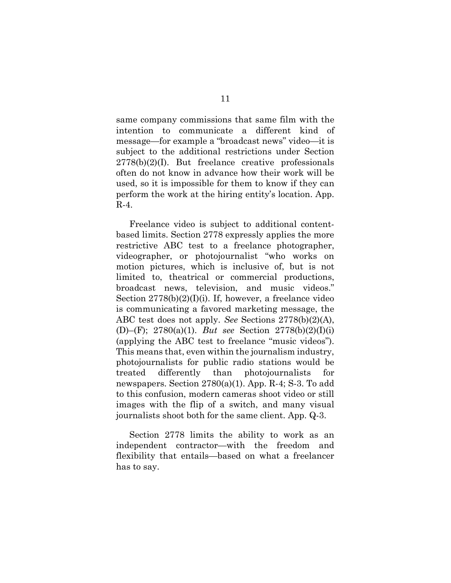same company commissions that same film with the intention to communicate a different kind of message—for example a "broadcast news" video—it is subject to the additional restrictions under Section  $2778(b)(2)(I)$ . But freelance creative professionals often do not know in advance how their work will be used, so it is impossible for them to know if they can perform the work at the hiring entity's location. App. R-4.

Freelance video is subject to additional contentbased limits. Section 2778 expressly applies the more restrictive ABC test to a freelance photographer, videographer, or photojournalist "who works on motion pictures, which is inclusive of, but is not limited to, theatrical or commercial productions, broadcast news, television, and music videos." Section 2778(b)(2)(I)(i). If, however, a freelance video is communicating a favored marketing message, the ABC test does not apply. See Sections 2778(b)(2)(A), (D)–(F); 2780(a)(1). But see Section 2778(b)(2)(I)(i) (applying the ABC test to freelance "music videos"). This means that, even within the journalism industry, photojournalists for public radio stations would be treated differently than photojournalists for newspapers. Section 2780(a)(1). App. R-4; S-3. To add to this confusion, modern cameras shoot video or still images with the flip of a switch, and many visual journalists shoot both for the same client. App. Q-3.

Section 2778 limits the ability to work as an independent contractor—with the freedom and flexibility that entails—based on what a freelancer has to say.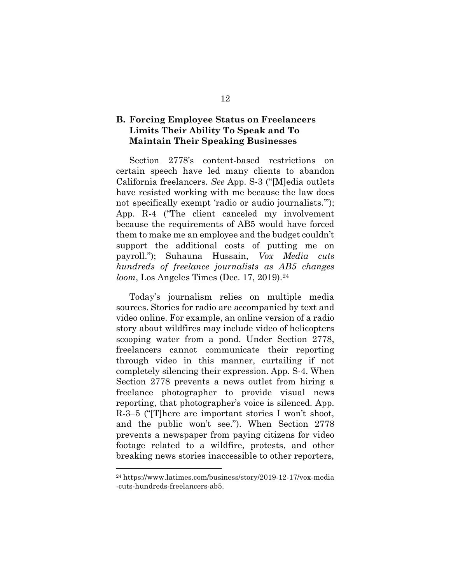### B. Forcing Employee Status on Freelancers Limits Their Ability To Speak and To Maintain Their Speaking Businesses

Section 2778's content-based restrictions on certain speech have led many clients to abandon California freelancers. See App. S-3 ("[M]edia outlets have resisted working with me because the law does not specifically exempt 'radio or audio journalists.""); App. R-4 ("The client canceled my involvement because the requirements of AB5 would have forced them to make me an employee and the budget couldn't support the additional costs of putting me on payroll."); Suhauna Hussain, Vox Media cuts hundreds of freelance journalists as AB5 changes loom, Los Angeles Times (Dec. 17, 2019).<sup>24</sup>

Today's journalism relies on multiple media sources. Stories for radio are accompanied by text and video online. For example, an online version of a radio story about wildfires may include video of helicopters scooping water from a pond. Under Section 2778, freelancers cannot communicate their reporting through video in this manner, curtailing if not completely silencing their expression. App. S-4. When Section 2778 prevents a news outlet from hiring a freelance photographer to provide visual news reporting, that photographer's voice is silenced. App. R-3–5 ("[T]here are important stories I won't shoot, and the public won't see."). When Section 2778 prevents a newspaper from paying citizens for video footage related to a wildfire, protests, and other breaking news stories inaccessible to other reporters,

<sup>24</sup> https://www.latimes.com/business/story/2019-12-17/vox-media -cuts-hundreds-freelancers-ab5.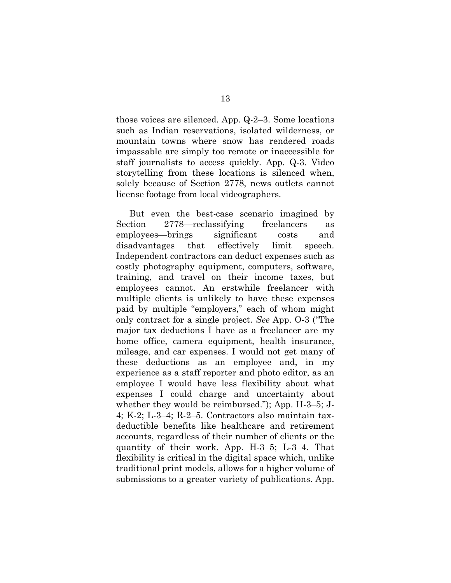those voices are silenced. App. Q-2–3. Some locations such as Indian reservations, isolated wilderness, or mountain towns where snow has rendered roads impassable are simply too remote or inaccessible for staff journalists to access quickly. App. Q-3. Video storytelling from these locations is silenced when, solely because of Section 2778, news outlets cannot license footage from local videographers.

But even the best-case scenario imagined by Section 2778—reclassifying freelancers as employees—brings significant costs and disadvantages that effectively limit speech. Independent contractors can deduct expenses such as costly photography equipment, computers, software, training, and travel on their income taxes, but employees cannot. An erstwhile freelancer with multiple clients is unlikely to have these expenses paid by multiple "employers," each of whom might only contract for a single project. See App. O-3 ("The major tax deductions I have as a freelancer are my home office, camera equipment, health insurance, mileage, and car expenses. I would not get many of these deductions as an employee and, in my experience as a staff reporter and photo editor, as an employee I would have less flexibility about what expenses I could charge and uncertainty about whether they would be reimbursed."); App. H-3–5; J-4; K-2; L-3–4; R-2–5. Contractors also maintain taxdeductible benefits like healthcare and retirement accounts, regardless of their number of clients or the quantity of their work. App. H-3–5; L-3–4. That flexibility is critical in the digital space which, unlike traditional print models, allows for a higher volume of submissions to a greater variety of publications. App.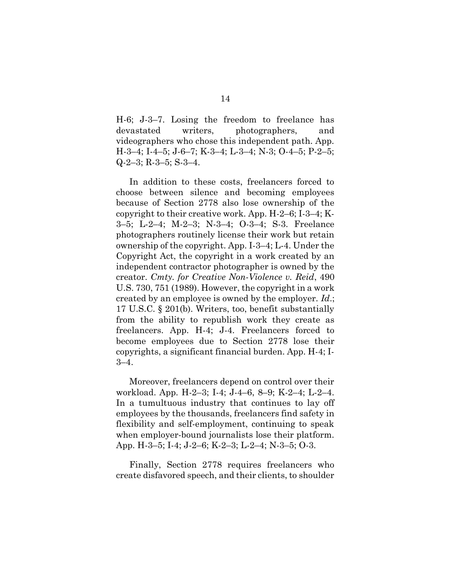H-6; J-3–7. Losing the freedom to freelance has devastated writers, photographers, and videographers who chose this independent path. App. H-3–4; I-4–5; J-6–7; K-3–4; L-3–4; N-3; O-4–5; P-2–5; Q-2–3; R-3–5; S-3–4.

In addition to these costs, freelancers forced to choose between silence and becoming employees because of Section 2778 also lose ownership of the copyright to their creative work. App. H-2–6; I-3–4; K-3–5; L-2–4; M-2–3; N-3–4; O-3–4; S-3. Freelance photographers routinely license their work but retain ownership of the copyright. App. I-3–4; L-4. Under the Copyright Act, the copyright in a work created by an independent contractor photographer is owned by the creator. Cmty. for Creative Non-Violence v. Reid, 490 U.S. 730, 751 (1989). However, the copyright in a work created by an employee is owned by the employer. Id.; 17 U.S.C. § 201(b). Writers, too, benefit substantially from the ability to republish work they create as freelancers. App. H-4; J-4. Freelancers forced to become employees due to Section 2778 lose their copyrights, a significant financial burden. App. H-4; I-3–4.

Moreover, freelancers depend on control over their workload. App. H-2–3; I-4; J-4–6, 8–9; K-2–4; L-2–4. In a tumultuous industry that continues to lay off employees by the thousands, freelancers find safety in flexibility and self-employment, continuing to speak when employer-bound journalists lose their platform. App. H-3–5; I-4; J-2–6; K-2–3; L-2–4; N-3–5; O-3.

Finally, Section 2778 requires freelancers who create disfavored speech, and their clients, to shoulder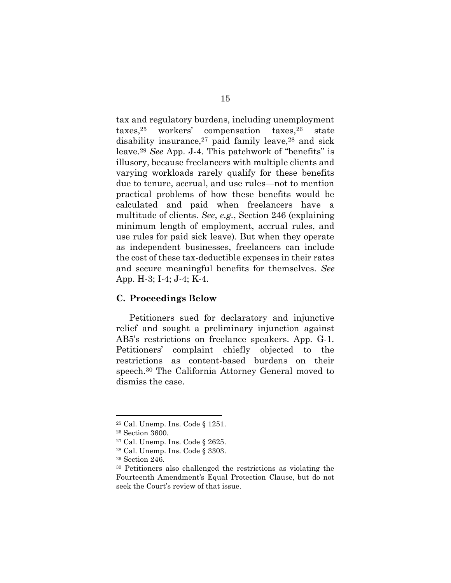tax and regulatory burdens, including unemployment taxes,25 workers' compensation taxes,26 state disability insurance, $27$  paid family leave, $28$  and sick leave.<sup>29</sup> See App. J-4. This patchwork of "benefits" is illusory, because freelancers with multiple clients and varying workloads rarely qualify for these benefits due to tenure, accrual, and use rules—not to mention practical problems of how these benefits would be calculated and paid when freelancers have a multitude of clients. See, e.g., Section 246 (explaining minimum length of employment, accrual rules, and use rules for paid sick leave). But when they operate as independent businesses, freelancers can include the cost of these tax-deductible expenses in their rates and secure meaningful benefits for themselves. See App. H-3; I-4; J-4; K-4.

#### C. Proceedings Below

Petitioners sued for declaratory and injunctive relief and sought a preliminary injunction against AB5's restrictions on freelance speakers. App. G-1. Petitioners' complaint chiefly objected to the restrictions as content-based burdens on their speech.30 The California Attorney General moved to dismiss the case.

<sup>25</sup> Cal. Unemp. Ins. Code § 1251.

<sup>26</sup> Section 3600.

<sup>27</sup> Cal. Unemp. Ins. Code § 2625.

<sup>28</sup> Cal. Unemp. Ins. Code § 3303.

<sup>29</sup> Section 246.

<sup>30</sup> Petitioners also challenged the restrictions as violating the Fourteenth Amendment's Equal Protection Clause, but do not seek the Court's review of that issue.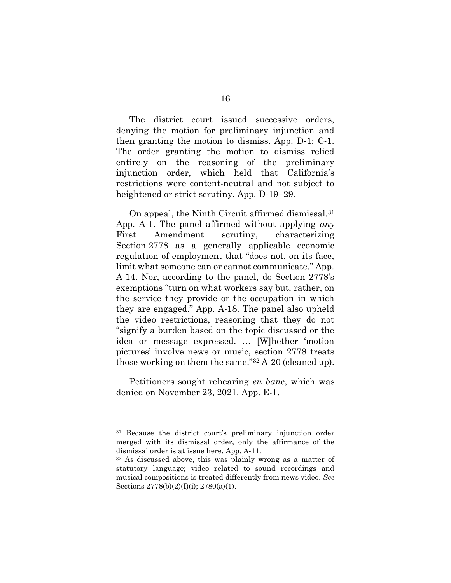The district court issued successive orders, denying the motion for preliminary injunction and then granting the motion to dismiss. App. D-1; C-1. The order granting the motion to dismiss relied entirely on the reasoning of the preliminary injunction order, which held that California's restrictions were content-neutral and not subject to heightened or strict scrutiny. App. D-19–29.

On appeal, the Ninth Circuit affirmed dismissal.<sup>31</sup> App. A-1. The panel affirmed without applying  $any$ First Amendment scrutiny, characterizing Section 2778 as a generally applicable economic regulation of employment that "does not, on its face, limit what someone can or cannot communicate." App. A-14. Nor, according to the panel, do Section 2778's exemptions "turn on what workers say but, rather, on the service they provide or the occupation in which they are engaged." App. A-18. The panel also upheld the video restrictions, reasoning that they do not "signify a burden based on the topic discussed or the idea or message expressed. … [W]hether 'motion pictures' involve news or music, section 2778 treats those working on them the same."32 A-20 (cleaned up).

Petitioners sought rehearing en banc, which was denied on November 23, 2021. App. E-1.

<sup>31</sup> Because the district court's preliminary injunction order merged with its dismissal order, only the affirmance of the dismissal order is at issue here. App. A-11.

<sup>32</sup> As discussed above, this was plainly wrong as a matter of statutory language; video related to sound recordings and musical compositions is treated differently from news video. See Sections 2778(b)(2)(I)(i); 2780(a)(1).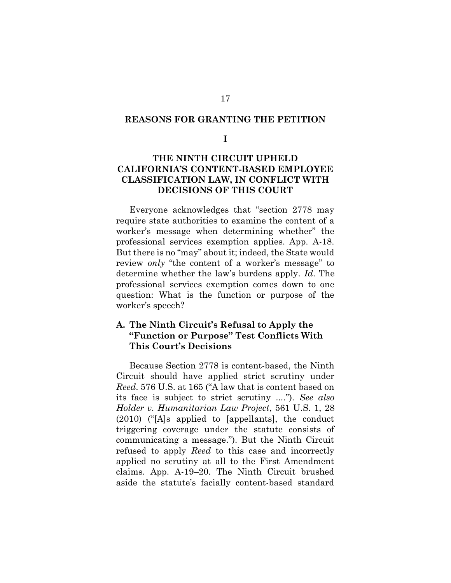#### REASONS FOR GRANTING THE PETITION

I

### THE NINTH CIRCUIT UPHELD CALIFORNIA'S CONTENT-BASED EMPLOYEE CLASSIFICATION LAW, IN CONFLICT WITH DECISIONS OF THIS COURT

Everyone acknowledges that "section 2778 may require state authorities to examine the content of a worker's message when determining whether" the professional services exemption applies. App. A-18. But there is no "may" about it; indeed, the State would review only "the content of a worker's message" to determine whether the law's burdens apply. Id. The professional services exemption comes down to one question: What is the function or purpose of the worker's speech?

### A. The Ninth Circuit's Refusal to Apply the "Function or Purpose" Test Conflicts With This Court's Decisions

Because Section 2778 is content-based, the Ninth Circuit should have applied strict scrutiny under Reed. 576 U.S. at 165 ("A law that is content based on its face is subject to strict scrutiny ...."). See also Holder v. Humanitarian Law Project, 561 U.S. 1, 28 (2010) ("[A]s applied to [appellants], the conduct triggering coverage under the statute consists of communicating a message."). But the Ninth Circuit refused to apply Reed to this case and incorrectly applied no scrutiny at all to the First Amendment claims. App. A-19–20. The Ninth Circuit brushed aside the statute's facially content-based standard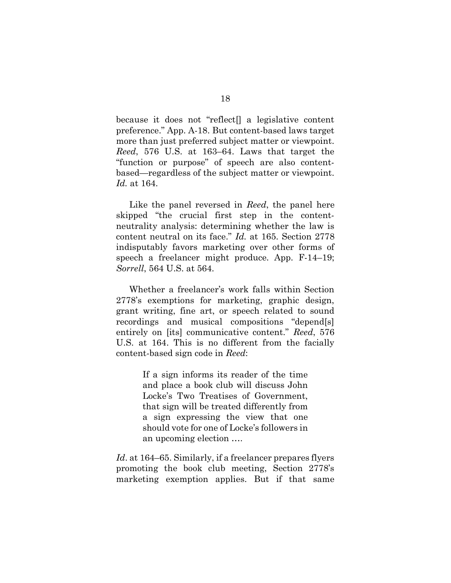because it does not "reflect[] a legislative content preference." App. A-18. But content-based laws target more than just preferred subject matter or viewpoint. Reed, 576 U.S. at 163–64. Laws that target the "function or purpose" of speech are also contentbased—regardless of the subject matter or viewpoint. Id. at 164.

Like the panel reversed in *Reed*, the panel here skipped "the crucial first step in the contentneutrality analysis: determining whether the law is content neutral on its face." Id. at 165. Section 2778 indisputably favors marketing over other forms of speech a freelancer might produce. App. F-14–19; Sorrell, 564 U.S. at 564.

Whether a freelancer's work falls within Section 2778's exemptions for marketing, graphic design, grant writing, fine art, or speech related to sound recordings and musical compositions "depend[s] entirely on [its] communicative content." Reed, 576 U.S. at 164. This is no different from the facially content-based sign code in Reed:

> If a sign informs its reader of the time and place a book club will discuss John Locke's Two Treatises of Government, that sign will be treated differently from a sign expressing the view that one should vote for one of Locke's followers in an upcoming election ….

Id. at 164–65. Similarly, if a freelancer prepares flyers promoting the book club meeting, Section 2778's marketing exemption applies. But if that same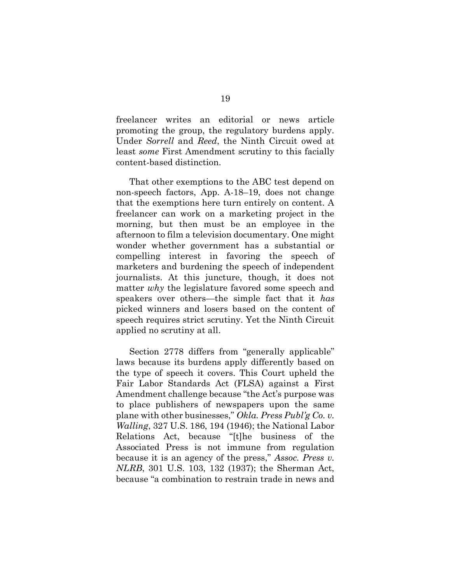freelancer writes an editorial or news article promoting the group, the regulatory burdens apply. Under Sorrell and Reed, the Ninth Circuit owed at least some First Amendment scrutiny to this facially content-based distinction.

That other exemptions to the ABC test depend on non-speech factors, App. A-18–19, does not change that the exemptions here turn entirely on content. A freelancer can work on a marketing project in the morning, but then must be an employee in the afternoon to film a television documentary. One might wonder whether government has a substantial or compelling interest in favoring the speech of marketers and burdening the speech of independent journalists. At this juncture, though, it does not matter why the legislature favored some speech and speakers over others—the simple fact that it has picked winners and losers based on the content of speech requires strict scrutiny. Yet the Ninth Circuit applied no scrutiny at all.

Section 2778 differs from "generally applicable" laws because its burdens apply differently based on the type of speech it covers. This Court upheld the Fair Labor Standards Act (FLSA) against a First Amendment challenge because "the Act's purpose was to place publishers of newspapers upon the same plane with other businesses," Okla. Press Publ'g Co. v. Walling, 327 U.S. 186, 194 (1946); the National Labor Relations Act, because "[t]he business of the Associated Press is not immune from regulation because it is an agency of the press," Assoc. Press v. NLRB, 301 U.S. 103, 132 (1937); the Sherman Act, because "a combination to restrain trade in news and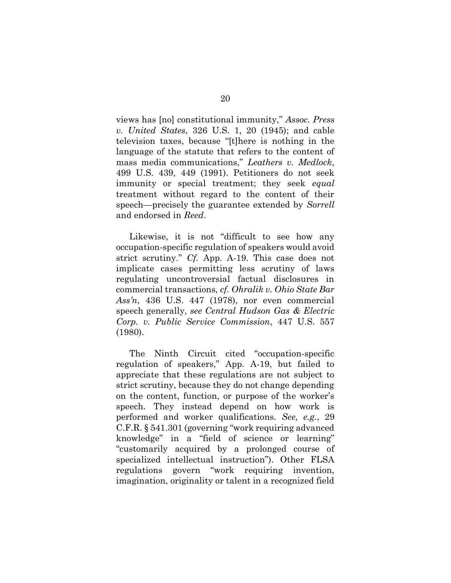views has [no] constitutional immunity," Assoc. Press v. United States, 326 U.S. 1, 20 (1945); and cable television taxes, because "[t]here is nothing in the language of the statute that refers to the content of mass media communications," Leathers v. Medlock, 499 U.S. 439, 449 (1991). Petitioners do not seek immunity or special treatment; they seek equal treatment without regard to the content of their speech—precisely the guarantee extended by Sorrell and endorsed in Reed.

Likewise, it is not "difficult to see how any occupation-specific regulation of speakers would avoid strict scrutiny." Cf. App. A-19. This case does not implicate cases permitting less scrutiny of laws regulating uncontroversial factual disclosures in commercial transactions, cf. Ohralik v. Ohio State Bar Ass'n, 436 U.S. 447 (1978), nor even commercial speech generally, see Central Hudson Gas & Electric Corp. v. Public Service Commission, 447 U.S. 557 (1980).

The Ninth Circuit cited "occupation-specific regulation of speakers," App. A-19, but failed to appreciate that these regulations are not subject to strict scrutiny, because they do not change depending on the content, function, or purpose of the worker's speech. They instead depend on how work is performed and worker qualifications. See, e.g., 29 C.F.R. § 541.301 (governing "work requiring advanced knowledge" in a "field of science or learning" "customarily acquired by a prolonged course of specialized intellectual instruction"). Other FLSA regulations govern "work requiring invention, imagination, originality or talent in a recognized field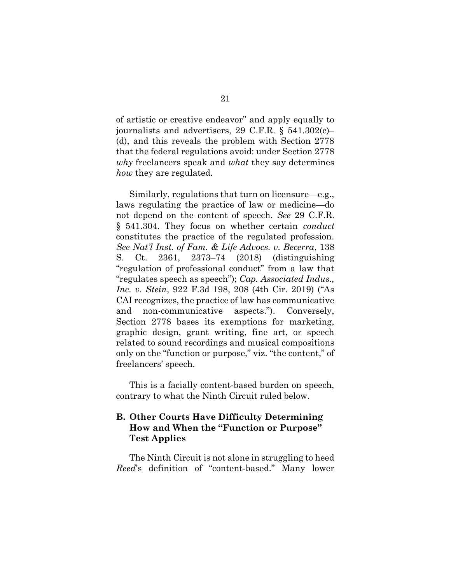of artistic or creative endeavor" and apply equally to journalists and advertisers, 29 C.F.R. § 541.302(c)– (d), and this reveals the problem with Section 2778 that the federal regulations avoid: under Section 2778 why freelancers speak and what they say determines how they are regulated.

Similarly, regulations that turn on licensure—e.g., laws regulating the practice of law or medicine—do not depend on the content of speech. See 29 C.F.R. § 541.304. They focus on whether certain *conduct* constitutes the practice of the regulated profession. See Nat'l Inst. of Fam. & Life Advocs. v. Becerra, 138 S. Ct. 2361, 2373–74 (2018) (distinguishing "regulation of professional conduct" from a law that "regulates speech as speech"); Cap. Associated Indus., Inc. v. Stein, 922 F.3d 198, 208 (4th Cir. 2019) ("As CAI recognizes, the practice of law has communicative and non-communicative aspects."). Conversely, Section 2778 bases its exemptions for marketing, graphic design, grant writing, fine art, or speech related to sound recordings and musical compositions only on the "function or purpose," viz. "the content," of freelancers' speech.

This is a facially content-based burden on speech, contrary to what the Ninth Circuit ruled below.

### B. Other Courts Have Difficulty Determining How and When the "Function or Purpose" Test Applies

The Ninth Circuit is not alone in struggling to heed Reed's definition of "content-based." Many lower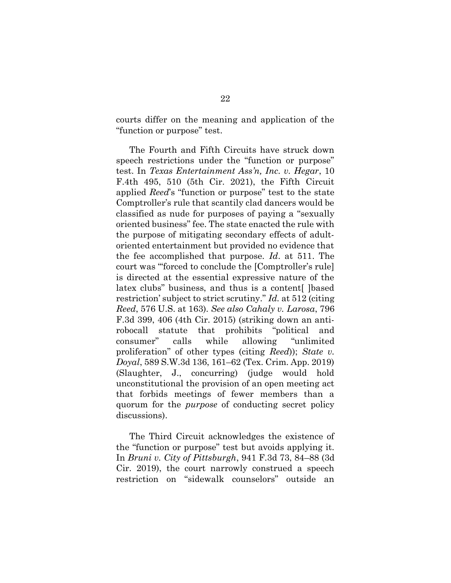courts differ on the meaning and application of the "function or purpose" test.

The Fourth and Fifth Circuits have struck down speech restrictions under the "function or purpose" test. In Texas Entertainment Ass'n, Inc. v. Hegar, 10 F.4th 495, 510 (5th Cir. 2021), the Fifth Circuit applied Reed's "function or purpose" test to the state Comptroller's rule that scantily clad dancers would be classified as nude for purposes of paying a "sexually oriented business" fee. The state enacted the rule with the purpose of mitigating secondary effects of adultoriented entertainment but provided no evidence that the fee accomplished that purpose. Id. at 511. The court was "'forced to conclude the [Comptroller's rule] is directed at the essential expressive nature of the latex clubs" business, and thus is a content [ ] based restriction' subject to strict scrutiny." Id. at 512 (citing Reed, 576 U.S. at 163). See also Cahaly v. Larosa, 796 F.3d 399, 406 (4th Cir. 2015) (striking down an antirobocall statute that prohibits "political and consumer" calls while allowing "unlimited proliferation" of other types (citing Reed)); State v. Doyal, 589 S.W.3d 136, 161–62 (Tex. Crim. App. 2019) (Slaughter, J., concurring) (judge would hold unconstitutional the provision of an open meeting act that forbids meetings of fewer members than a quorum for the purpose of conducting secret policy discussions).

The Third Circuit acknowledges the existence of the "function or purpose" test but avoids applying it. In Bruni v. City of Pittsburgh, 941 F.3d 73, 84–88 (3d Cir. 2019), the court narrowly construed a speech restriction on "sidewalk counselors" outside an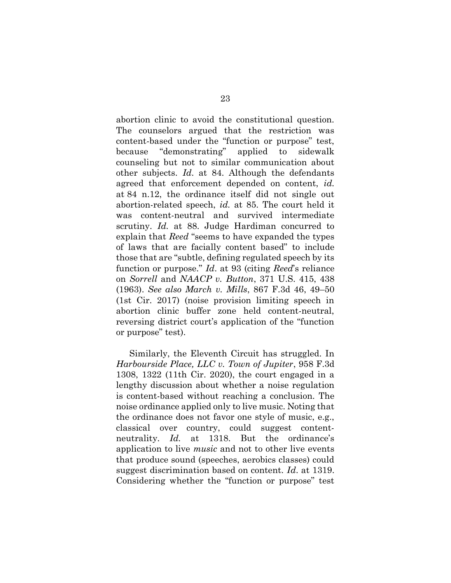abortion clinic to avoid the constitutional question. The counselors argued that the restriction was content-based under the "function or purpose" test, because "demonstrating" applied to sidewalk counseling but not to similar communication about other subjects. Id. at 84. Although the defendants agreed that enforcement depended on content, id. at 84 n.12, the ordinance itself did not single out abortion-related speech, id. at 85. The court held it was content-neutral and survived intermediate scrutiny. *Id.* at 88. Judge Hardiman concurred to explain that Reed "seems to have expanded the types of laws that are facially content based" to include those that are "subtle, defining regulated speech by its function or purpose." Id. at 93 (citing Reed's reliance on Sorrell and NAACP v. Button, 371 U.S. 415, 438 (1963). See also March v. Mills, 867 F.3d 46, 49–50 (1st Cir. 2017) (noise provision limiting speech in abortion clinic buffer zone held content-neutral, reversing district court's application of the "function or purpose" test).

Similarly, the Eleventh Circuit has struggled. In Harbourside Place, LLC v. Town of Jupiter, 958 F.3d 1308, 1322 (11th Cir. 2020), the court engaged in a lengthy discussion about whether a noise regulation is content-based without reaching a conclusion. The noise ordinance applied only to live music. Noting that the ordinance does not favor one style of music, e.g., classical over country, could suggest contentneutrality. Id. at 1318. But the ordinance's application to live music and not to other live events that produce sound (speeches, aerobics classes) could suggest discrimination based on content. Id. at 1319. Considering whether the "function or purpose" test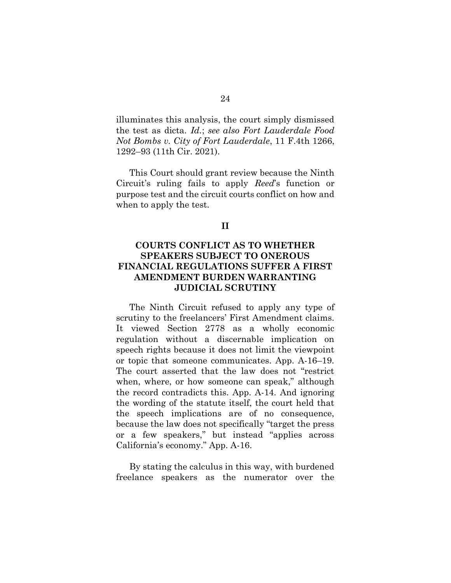illuminates this analysis, the court simply dismissed the test as dicta. Id.; see also Fort Lauderdale Food Not Bombs v. City of Fort Lauderdale, 11 F.4th 1266, 1292–93 (11th Cir. 2021).

This Court should grant review because the Ninth Circuit's ruling fails to apply Reed's function or purpose test and the circuit courts conflict on how and when to apply the test.

#### II

### COURTS CONFLICT AS TO WHETHER SPEAKERS SUBJECT TO ONEROUS FINANCIAL REGULATIONS SUFFER A FIRST AMENDMENT BURDEN WARRANTING JUDICIAL SCRUTINY

The Ninth Circuit refused to apply any type of scrutiny to the freelancers' First Amendment claims. It viewed Section 2778 as a wholly economic regulation without a discernable implication on speech rights because it does not limit the viewpoint or topic that someone communicates. App. A-16–19. The court asserted that the law does not "restrict when, where, or how someone can speak," although the record contradicts this. App. A-14. And ignoring the wording of the statute itself, the court held that the speech implications are of no consequence, because the law does not specifically "target the press or a few speakers," but instead "applies across California's economy." App. A-16.

By stating the calculus in this way, with burdened freelance speakers as the numerator over the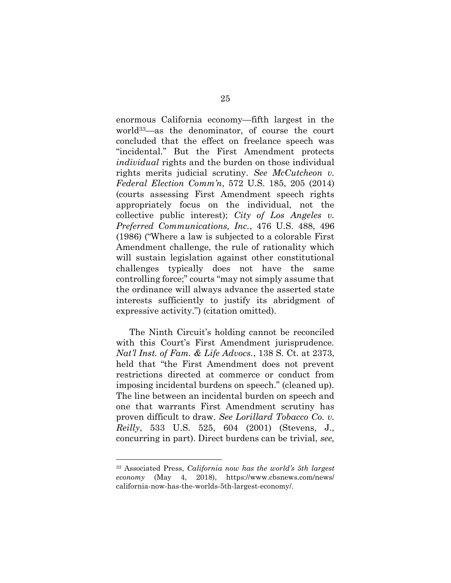enormous California economy—fifth largest in the world33—as the denominator, of course the court concluded that the effect on freelance speech was "incidental." But the First Amendment protects individual rights and the burden on those individual rights merits judicial scrutiny. See McCutcheon  $v$ . Federal Election Comm'n, 572 U.S. 185, 205 (2014) (courts assessing First Amendment speech rights appropriately focus on the individual, not the collective public interest); City of Los Angeles v. Preferred Communications, Inc., 476 U.S. 488, 496 (1986) ("Where a law is subjected to a colorable First Amendment challenge, the rule of rationality which will sustain legislation against other constitutional challenges typically does not have the same controlling force;" courts "may not simply assume that the ordinance will always advance the asserted state interests sufficiently to justify its abridgment of expressive activity.") (citation omitted).

The Ninth Circuit's holding cannot be reconciled with this Court's First Amendment jurisprudence. Nat'l Inst. of Fam. & Life Advocs., 138 S. Ct. at 2373, held that "the First Amendment does not prevent restrictions directed at commerce or conduct from imposing incidental burdens on speech." (cleaned up). The line between an incidental burden on speech and one that warrants First Amendment scrutiny has proven difficult to draw. See Lorillard Tobacco Co. v. Reilly, 533 U.S. 525, 604 (2001) (Stevens, J., concurring in part). Direct burdens can be trivial, see,

<sup>33</sup> Associated Press, California now has the world's 5th largest economy (May 4, 2018), https://www.cbsnews.com/news/ california-now-has-the-worlds-5th-largest-economy/.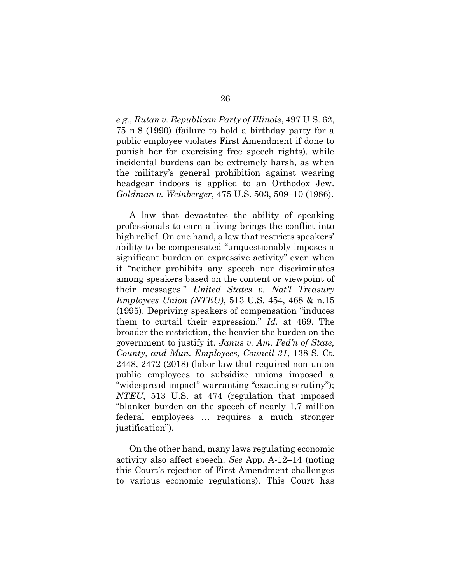e.g., Rutan v. Republican Party of Illinois, 497 U.S. 62, 75 n.8 (1990) (failure to hold a birthday party for a public employee violates First Amendment if done to punish her for exercising free speech rights), while incidental burdens can be extremely harsh, as when the military's general prohibition against wearing headgear indoors is applied to an Orthodox Jew. Goldman v. Weinberger, 475 U.S. 503, 509–10 (1986).

A law that devastates the ability of speaking professionals to earn a living brings the conflict into high relief. On one hand, a law that restricts speakers' ability to be compensated "unquestionably imposes a significant burden on expressive activity" even when it "neither prohibits any speech nor discriminates among speakers based on the content or viewpoint of their messages." United States v. Nat'l Treasury Employees Union (NTEU), 513 U.S. 454, 468 & n.15 (1995). Depriving speakers of compensation "induces them to curtail their expression." Id. at 469. The broader the restriction, the heavier the burden on the government to justify it. Janus v. Am. Fed'n of State, County, and Mun. Employees, Council 31, 138 S. Ct. 2448, 2472 (2018) (labor law that required non-union public employees to subsidize unions imposed a "widespread impact" warranting "exacting scrutiny"); NTEU, 513 U.S. at 474 (regulation that imposed "blanket burden on the speech of nearly 1.7 million federal employees … requires a much stronger justification").

On the other hand, many laws regulating economic activity also affect speech. See App. A-12–14 (noting this Court's rejection of First Amendment challenges to various economic regulations). This Court has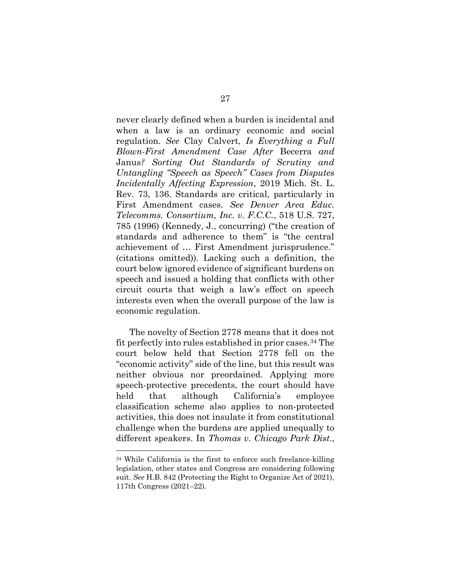never clearly defined when a burden is incidental and when a law is an ordinary economic and social regulation. See Clay Calvert, Is Everything a Full Blown-First Amendment Case After Becerra and Janus? Sorting Out Standards of Scrutiny and Untangling "Speech as Speech" Cases from Disputes Incidentally Affecting Expression, 2019 Mich. St. L. Rev. 73, 136. Standards are critical, particularly in First Amendment cases. See Denver Area Educ. Telecomms. Consortium, Inc. v. F.C.C., 518 U.S. 727, 785 (1996) (Kennedy, J., concurring) ("the creation of standards and adherence to them" is "the central achievement of … First Amendment jurisprudence." (citations omitted)). Lacking such a definition, the court below ignored evidence of significant burdens on speech and issued a holding that conflicts with other circuit courts that weigh a law's effect on speech interests even when the overall purpose of the law is economic regulation.

The novelty of Section 2778 means that it does not fit perfectly into rules established in prior cases.34 The court below held that Section 2778 fell on the "economic activity" side of the line, but this result was neither obvious nor preordained. Applying more speech-protective precedents, the court should have held that although California's employee classification scheme also applies to non-protected activities, this does not insulate it from constitutional challenge when the burdens are applied unequally to different speakers. In Thomas v. Chicago Park Dist.,

<sup>34</sup> While California is the first to enforce such freelance-killing legislation, other states and Congress are considering following suit. See H.B. 842 (Protecting the Right to Organize Act of 2021), 117th Congress (2021–22).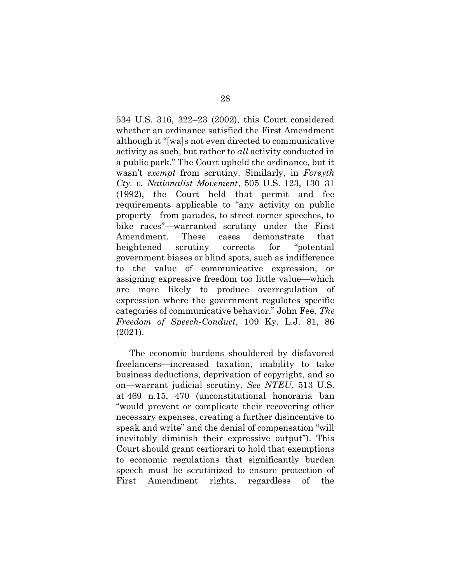534 U.S. 316, 322–23 (2002), this Court considered whether an ordinance satisfied the First Amendment although it "[wa]s not even directed to communicative activity as such, but rather to all activity conducted in a public park." The Court upheld the ordinance, but it wasn't exempt from scrutiny. Similarly, in Forsyth Cty. v. Nationalist Movement, 505 U.S. 123, 130–31 (1992), the Court held that permit and fee requirements applicable to "any activity on public property—from parades, to street corner speeches, to bike races"—warranted scrutiny under the First Amendment. These cases demonstrate that heightened scrutiny corrects for "potential government biases or blind spots, such as indifference to the value of communicative expression, or assigning expressive freedom too little value—which are more likely to produce overregulation of expression where the government regulates specific categories of communicative behavior." John Fee, The Freedom of Speech-Conduct, 109 Ky. L.J. 81, 86 (2021).

The economic burdens shouldered by disfavored freelancers—increased taxation, inability to take business deductions, deprivation of copyright, and so on—warrant judicial scrutiny. See NTEU, 513 U.S. at 469 n.15, 470 (unconstitutional honoraria ban "would prevent or complicate their recovering other necessary expenses, creating a further disincentive to speak and write" and the denial of compensation "will inevitably diminish their expressive output"). This Court should grant certiorari to hold that exemptions to economic regulations that significantly burden speech must be scrutinized to ensure protection of First Amendment rights, regardless of the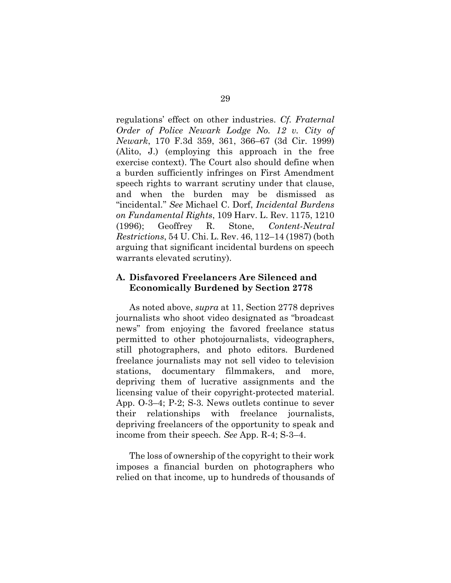regulations' effect on other industries. Cf. Fraternal Order of Police Newark Lodge No. 12 v. City of Newark, 170 F.3d 359, 361, 366–67 (3d Cir. 1999) (Alito, J.) (employing this approach in the free exercise context). The Court also should define when a burden sufficiently infringes on First Amendment speech rights to warrant scrutiny under that clause, and when the burden may be dismissed as "incidental." See Michael C. Dorf, Incidental Burdens on Fundamental Rights, 109 Harv. L. Rev. 1175, 1210 (1996); Geoffrey R. Stone, Content-Neutral Restrictions, 54 U. Chi. L. Rev. 46, 112–14 (1987) (both arguing that significant incidental burdens on speech warrants elevated scrutiny).

#### A. Disfavored Freelancers Are Silenced and Economically Burdened by Section 2778

As noted above, *supra* at 11, Section 2778 deprives journalists who shoot video designated as "broadcast news" from enjoying the favored freelance status permitted to other photojournalists, videographers, still photographers, and photo editors. Burdened freelance journalists may not sell video to television stations, documentary filmmakers, and more, depriving them of lucrative assignments and the licensing value of their copyright-protected material. App. O-3–4; P-2; S-3. News outlets continue to sever their relationships with freelance journalists, depriving freelancers of the opportunity to speak and income from their speech. See App. R-4; S-3–4.

The loss of ownership of the copyright to their work imposes a financial burden on photographers who relied on that income, up to hundreds of thousands of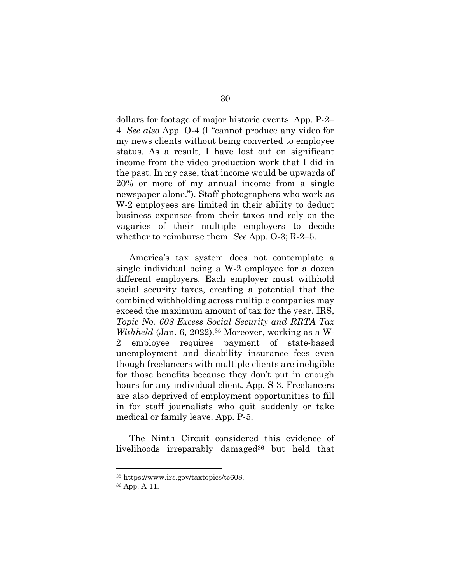dollars for footage of major historic events. App. P-2– 4. See also App. O-4 (I "cannot produce any video for my news clients without being converted to employee status. As a result, I have lost out on significant income from the video production work that I did in the past. In my case, that income would be upwards of 20% or more of my annual income from a single newspaper alone."). Staff photographers who work as W-2 employees are limited in their ability to deduct business expenses from their taxes and rely on the vagaries of their multiple employers to decide whether to reimburse them. See App. 0-3; R-2–5.

America's tax system does not contemplate a single individual being a W-2 employee for a dozen different employers. Each employer must withhold social security taxes, creating a potential that the combined withholding across multiple companies may exceed the maximum amount of tax for the year. IRS, Topic No. 608 Excess Social Security and RRTA Tax Withheld (Jan. 6, 2022).35 Moreover, working as a W-2 employee requires payment of state-based unemployment and disability insurance fees even though freelancers with multiple clients are ineligible for those benefits because they don't put in enough hours for any individual client. App. S-3. Freelancers are also deprived of employment opportunities to fill in for staff journalists who quit suddenly or take medical or family leave. App. P-5.

The Ninth Circuit considered this evidence of livelihoods irreparably damaged<sup>36</sup> but held that

<sup>35</sup> https://www.irs.gov/taxtopics/tc608.

<sup>36</sup> App. A-11.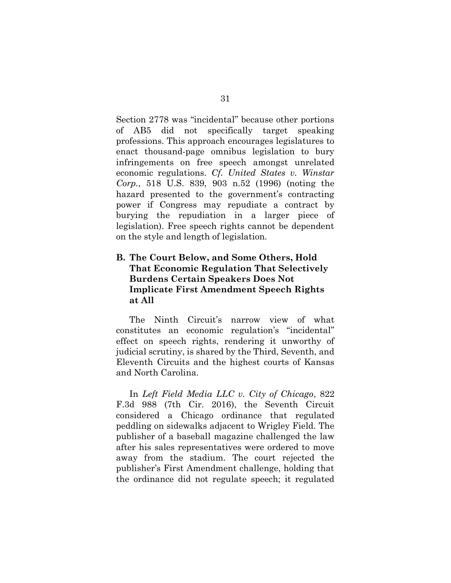Section 2778 was "incidental" because other portions of AB5 did not specifically target speaking professions. This approach encourages legislatures to enact thousand-page omnibus legislation to bury infringements on free speech amongst unrelated economic regulations. Cf. United States v. Winstar Corp., 518 U.S. 839, 903 n.52 (1996) (noting the hazard presented to the government's contracting power if Congress may repudiate a contract by burying the repudiation in a larger piece of legislation). Free speech rights cannot be dependent on the style and length of legislation.

### B. The Court Below, and Some Others, Hold That Economic Regulation That Selectively Burdens Certain Speakers Does Not Implicate First Amendment Speech Rights at All

The Ninth Circuit's narrow view of what constitutes an economic regulation's "incidental" effect on speech rights, rendering it unworthy of judicial scrutiny, is shared by the Third, Seventh, and Eleventh Circuits and the highest courts of Kansas and North Carolina.

In Left Field Media LLC v. City of Chicago, 822 F.3d 988 (7th Cir. 2016), the Seventh Circuit considered a Chicago ordinance that regulated peddling on sidewalks adjacent to Wrigley Field. The publisher of a baseball magazine challenged the law after his sales representatives were ordered to move away from the stadium. The court rejected the publisher's First Amendment challenge, holding that the ordinance did not regulate speech; it regulated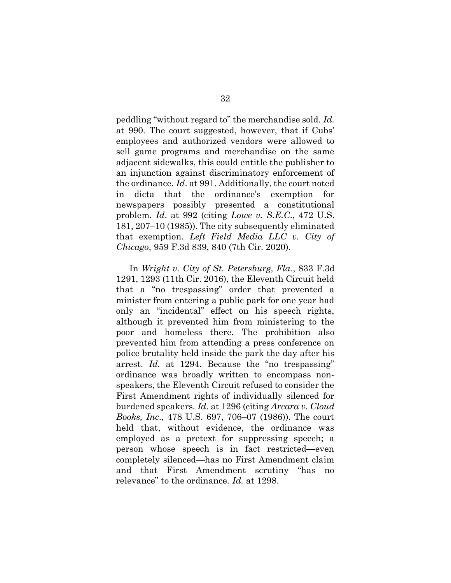peddling "without regard to" the merchandise sold. Id. at 990. The court suggested, however, that if Cubs' employees and authorized vendors were allowed to sell game programs and merchandise on the same adjacent sidewalks, this could entitle the publisher to an injunction against discriminatory enforcement of the ordinance. Id. at 991. Additionally, the court noted in dicta that the ordinance's exemption for newspapers possibly presented a constitutional problem. Id. at 992 (citing Lowe v. S.E.C., 472 U.S. 181, 207–10 (1985)). The city subsequently eliminated that exemption. Left Field Media LLC v. City of Chicago, 959 F.3d 839, 840 (7th Cir. 2020).

In Wright v. City of St. Petersburg, Fla., 833 F.3d 1291, 1293 (11th Cir. 2016), the Eleventh Circuit held that a "no trespassing" order that prevented a minister from entering a public park for one year had only an "incidental" effect on his speech rights, although it prevented him from ministering to the poor and homeless there. The prohibition also prevented him from attending a press conference on police brutality held inside the park the day after his arrest. Id. at 1294. Because the "no trespassing" ordinance was broadly written to encompass nonspeakers, the Eleventh Circuit refused to consider the First Amendment rights of individually silenced for burdened speakers. Id. at 1296 (citing Arcara v. Cloud Books, Inc., 478 U.S. 697, 706–07 (1986)). The court held that, without evidence, the ordinance was employed as a pretext for suppressing speech; a person whose speech is in fact restricted—even completely silenced—has no First Amendment claim and that First Amendment scrutiny "has no relevance" to the ordinance. Id. at 1298.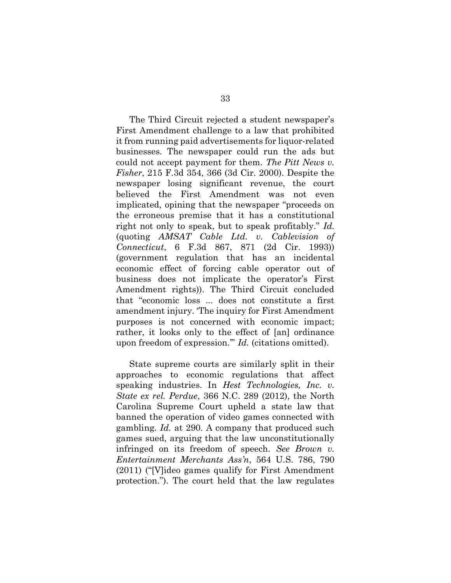The Third Circuit rejected a student newspaper's First Amendment challenge to a law that prohibited it from running paid advertisements for liquor-related businesses. The newspaper could run the ads but could not accept payment for them. The Pitt News v. Fisher, 215 F.3d 354, 366 (3d Cir. 2000). Despite the newspaper losing significant revenue, the court believed the First Amendment was not even implicated, opining that the newspaper "proceeds on the erroneous premise that it has a constitutional right not only to speak, but to speak profitably." Id. (quoting AMSAT Cable Ltd. v. Cablevision of Connecticut, 6 F.3d 867, 871 (2d Cir. 1993)) (government regulation that has an incidental economic effect of forcing cable operator out of business does not implicate the operator's First Amendment rights)). The Third Circuit concluded that "economic loss ... does not constitute a first amendment injury. 'The inquiry for First Amendment purposes is not concerned with economic impact; rather, it looks only to the effect of [an] ordinance upon freedom of expression.'" Id. (citations omitted).

State supreme courts are similarly split in their approaches to economic regulations that affect speaking industries. In *Hest Technologies*, *Inc. v.* State ex rel. Perdue, 366 N.C. 289 (2012), the North Carolina Supreme Court upheld a state law that banned the operation of video games connected with gambling. Id. at 290. A company that produced such games sued, arguing that the law unconstitutionally infringed on its freedom of speech. See Brown v. Entertainment Merchants Ass'n, 564 U.S. 786, 790 (2011) ("[V]ideo games qualify for First Amendment protection."). The court held that the law regulates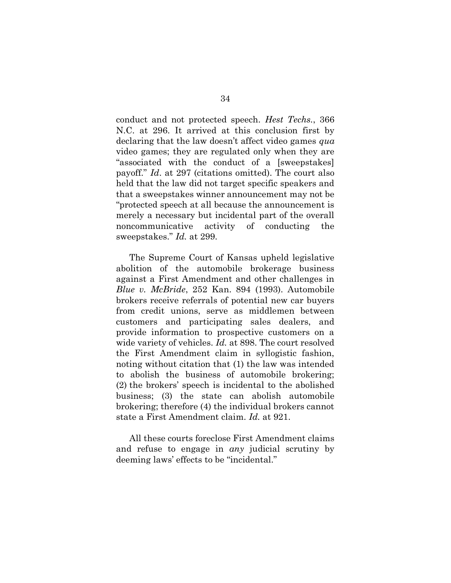conduct and not protected speech. Hest Techs., 366 N.C. at 296. It arrived at this conclusion first by declaring that the law doesn't affect video games qua video games; they are regulated only when they are "associated with the conduct of a [sweepstakes] payoff." Id. at 297 (citations omitted). The court also held that the law did not target specific speakers and that a sweepstakes winner announcement may not be "protected speech at all because the announcement is merely a necessary but incidental part of the overall noncommunicative activity of conducting the sweepstakes." Id. at 299.

The Supreme Court of Kansas upheld legislative abolition of the automobile brokerage business against a First Amendment and other challenges in Blue v. McBride, 252 Kan. 894 (1993). Automobile brokers receive referrals of potential new car buyers from credit unions, serve as middlemen between customers and participating sales dealers, and provide information to prospective customers on a wide variety of vehicles. *Id.* at 898. The court resolved the First Amendment claim in syllogistic fashion, noting without citation that (1) the law was intended to abolish the business of automobile brokering; (2) the brokers' speech is incidental to the abolished business; (3) the state can abolish automobile brokering; therefore (4) the individual brokers cannot state a First Amendment claim. Id. at 921.

All these courts foreclose First Amendment claims and refuse to engage in any judicial scrutiny by deeming laws' effects to be "incidental."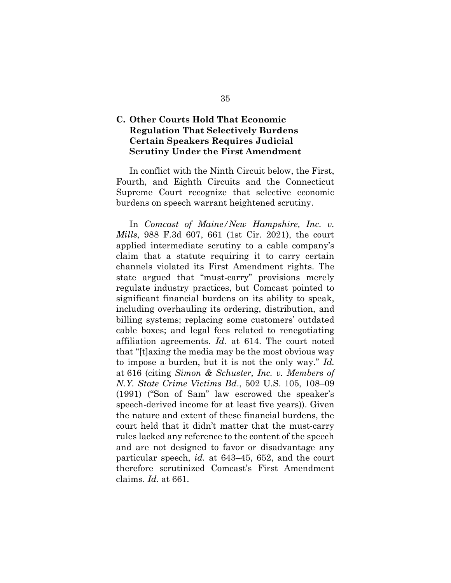### C. Other Courts Hold That Economic Regulation That Selectively Burdens Certain Speakers Requires Judicial Scrutiny Under the First Amendment

In conflict with the Ninth Circuit below, the First, Fourth, and Eighth Circuits and the Connecticut Supreme Court recognize that selective economic burdens on speech warrant heightened scrutiny.

In Comcast of Maine/New Hampshire, Inc. v. Mills, 988 F.3d 607, 661 (1st Cir. 2021), the court applied intermediate scrutiny to a cable company's claim that a statute requiring it to carry certain channels violated its First Amendment rights. The state argued that "must-carry" provisions merely regulate industry practices, but Comcast pointed to significant financial burdens on its ability to speak, including overhauling its ordering, distribution, and billing systems; replacing some customers' outdated cable boxes; and legal fees related to renegotiating affiliation agreements. Id. at 614. The court noted that "[t]axing the media may be the most obvious way to impose a burden, but it is not the only way." Id. at 616 (citing Simon & Schuster, Inc. v. Members of N.Y. State Crime Victims Bd., 502 U.S. 105, 108–09 (1991) ("Son of Sam" law escrowed the speaker's speech-derived income for at least five years)). Given the nature and extent of these financial burdens, the court held that it didn't matter that the must-carry rules lacked any reference to the content of the speech and are not designed to favor or disadvantage any particular speech, id. at 643–45, 652, and the court therefore scrutinized Comcast's First Amendment claims. Id. at 661.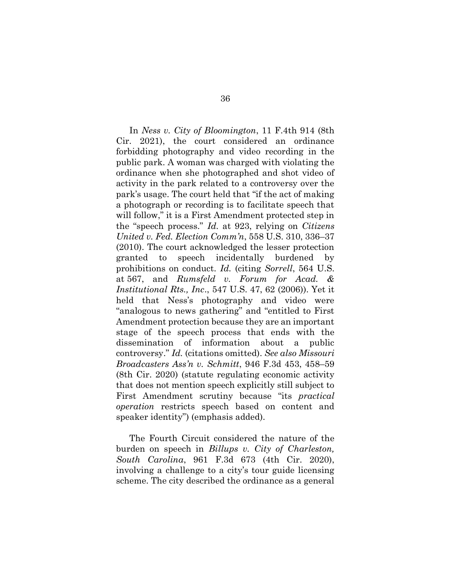In Ness v. City of Bloomington, 11 F.4th 914 (8th Cir. 2021), the court considered an ordinance forbidding photography and video recording in the public park. A woman was charged with violating the ordinance when she photographed and shot video of activity in the park related to a controversy over the park's usage. The court held that "if the act of making a photograph or recording is to facilitate speech that will follow," it is a First Amendment protected step in the "speech process." Id. at 923, relying on Citizens United v. Fed. Election Comm'n, 558 U.S. 310, 336–37 (2010). The court acknowledged the lesser protection granted to speech incidentally burdened by prohibitions on conduct. Id. (citing Sorrell, 564 U.S. at 567, and Rumsfeld v. Forum for Acad. & Institutional Rts., Inc., 547 U.S. 47, 62 (2006)). Yet it held that Ness's photography and video were "analogous to news gathering" and "entitled to First Amendment protection because they are an important stage of the speech process that ends with the dissemination of information about a public controversy." Id. (citations omitted). See also Missouri Broadcasters Ass'n v. Schmitt, 946 F.3d 453, 458–59 (8th Cir. 2020) (statute regulating economic activity that does not mention speech explicitly still subject to First Amendment scrutiny because "its practical operation restricts speech based on content and speaker identity") (emphasis added).

The Fourth Circuit considered the nature of the burden on speech in Billups v. City of Charleston, South Carolina, 961 F.3d 673 (4th Cir. 2020), involving a challenge to a city's tour guide licensing scheme. The city described the ordinance as a general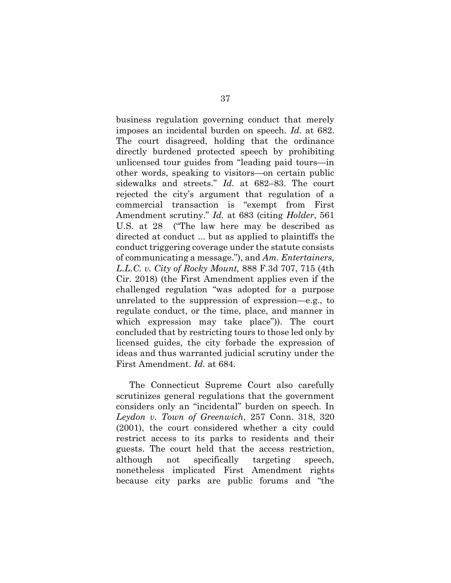business regulation governing conduct that merely imposes an incidental burden on speech. Id. at 682. The court disagreed, holding that the ordinance directly burdened protected speech by prohibiting unlicensed tour guides from "leading paid tours—in other words, speaking to visitors—on certain public sidewalks and streets." Id. at 682–83. The court rejected the city's argument that regulation of a commercial transaction is "exempt from First Amendment scrutiny." Id. at 683 (citing Holder, 561 U.S. at 28 ("The law here may be described as directed at conduct ... but as applied to plaintiffs the conduct triggering coverage under the statute consists of communicating a message."), and Am. Entertainers, L.L.C. v. City of Rocky Mount, 888 F.3d 707, 715 (4th Cir. 2018) (the First Amendment applies even if the challenged regulation "was adopted for a purpose unrelated to the suppression of expression—e.g., to regulate conduct, or the time, place, and manner in which expression may take place")). The court concluded that by restricting tours to those led only by licensed guides, the city forbade the expression of ideas and thus warranted judicial scrutiny under the First Amendment. Id. at 684.

The Connecticut Supreme Court also carefully scrutinizes general regulations that the government considers only an "incidental" burden on speech. In Leydon v. Town of Greenwich, 257 Conn. 318, 320 (2001), the court considered whether a city could restrict access to its parks to residents and their guests. The court held that the access restriction, although not specifically targeting speech, nonetheless implicated First Amendment rights because city parks are public forums and "the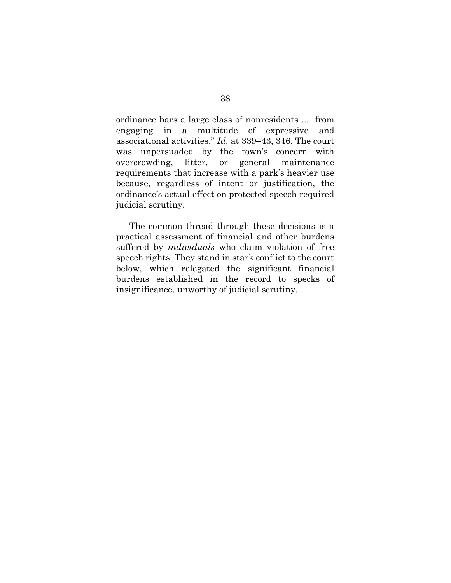ordinance bars a large class of nonresidents ... from engaging in a multitude of expressive and associational activities." Id. at 339–43, 346. The court was unpersuaded by the town's concern with overcrowding, litter, or general maintenance requirements that increase with a park's heavier use because, regardless of intent or justification, the ordinance's actual effect on protected speech required judicial scrutiny.

The common thread through these decisions is a practical assessment of financial and other burdens suffered by *individuals* who claim violation of free speech rights. They stand in stark conflict to the court below, which relegated the significant financial burdens established in the record to specks of insignificance, unworthy of judicial scrutiny.